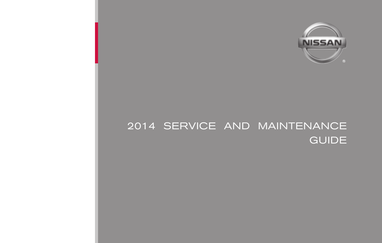

## 2014 SERVICE AND MAINTENANCE GUIDE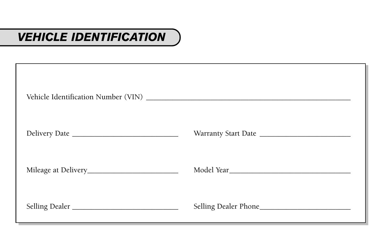## *VEHICLE IDENTIFICATION*

| Selling Dealer | Selling Dealer Phone |
|----------------|----------------------|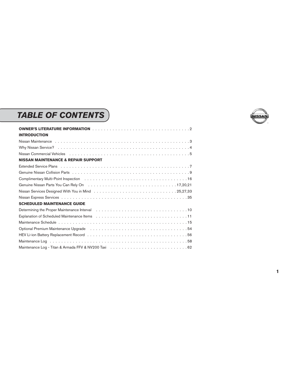## *TABLE OF CONTENTS*

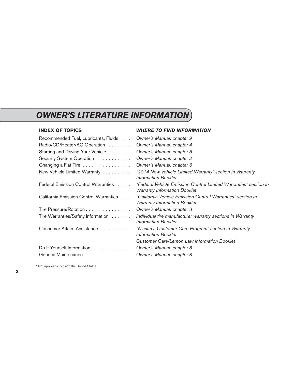## <span id="page-3-0"></span>*OWNER'S LITERATURE INFORMATION*

#### **INDEX OF TOPICS** *WHERE TO FIND INFORMATION*

| Owner's Manual: chapter 9                                                                               |
|---------------------------------------------------------------------------------------------------------|
| Owner's Manual: chapter 4                                                                               |
| Owner's Manual: chapter 5                                                                               |
| Owner's Manual: chapter 2                                                                               |
| Owner's Manual: chapter 6                                                                               |
| "2014 New Vehicle Limited Warranty" section in Warranty<br><b>Information Booklet</b>                   |
| "Federal Vehicle Emission Control Limited Warranties" section in<br><b>Warranty Information Booklet</b> |
| "California Vehicle Emission Control Warranties" section in<br><b>Warranty Information Booklet</b>      |
| Owner's Manual: chapter 8                                                                               |
| Individual tire manufacturer warranty sections in Warranty<br>Information Booklet                       |
| "Nissan's Customer Care Program" section in Warranty<br><b>Information Booklet</b>                      |
| Customer Care/Lemon Law Information Booklet <sup>*</sup>                                                |
| Owner's Manual: chapter 8                                                                               |
| Owner's Manual: chapter 8                                                                               |
|                                                                                                         |

<sup>\*</sup> Not applicable outside the United States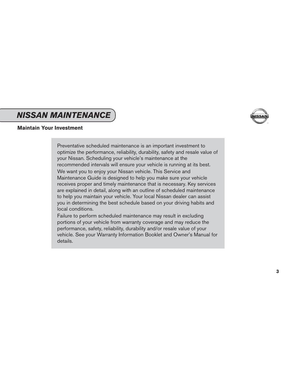## <span id="page-4-0"></span>*NISSAN MAINTENANCE*



### **Maintain Your Investment**

Preventative scheduled maintenance is an important investment to optimize the performance, reliability, durability, safety and resale value of your Nissan. Scheduling your vehicle's maintenance at the recommended intervals will ensure your vehicle is running at its best. We want you to enjoy your Nissan vehicle. This Service and Maintenance Guide is designed to help you make sure your vehicle receives proper and timely maintenance that is necessary. Key services are explained in detail, along with an outline of scheduled maintenance to help you maintain your vehicle. Your local Nissan dealer can assist you in determining the best schedule based on your driving habits and local conditions.

Failure to perform scheduled maintenance may result in excluding portions of your vehicle from warranty coverage and may reduce the performance, safety, reliability, durability and/or resale value of your vehicle. See your Warranty Information Booklet and Owner's Manual for details.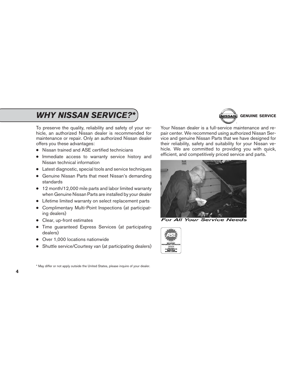## <span id="page-5-0"></span>**WHY NISSAN SERVICE?\* CONSUMPTER IN A READ TO A READ OF SERVICE**

To preserve the quality, reliability and safety of your vehicle, an authorized Nissan dealer is recommended for maintenance or repair. Only an authorized Nissan dealer offers you these advantages:

- Nissan trained and ASE certified technicians
- Immediate access to warranty service history and Nissan technical information
- Latest diagnostic, special tools and service techniques
- Genuine Nissan Parts that meet Nissan's demanding standards
- 12 month/12,000 mile parts and labor limited warranty when Genuine Nissan Parts are installed by your dealer
- Lifetime limited warranty on select replacement parts
- Complimentary Multi-Point Inspections (at participating dealers)
- Clear, up-front estimates
- Time guaranteed Express Services (at participating dealers)
- Over 1,000 locations nationwide
- Shuttle service/Courtesy van (at participating dealers)

Your Nissan dealer is a full-service maintenance and repair center. We recommend using authorized Nissan Service and genuine Nissan Parts that we have designed for their reliability, safety and suitability for your Nissan vehicle. We are committed to providing you with quick, efficient, and competitively priced service and parts.<sup>\*</sup>



**For All Your Service Needs** 



<sup>\*</sup> May differ or not apply outside the United States, please inquire of your dealer.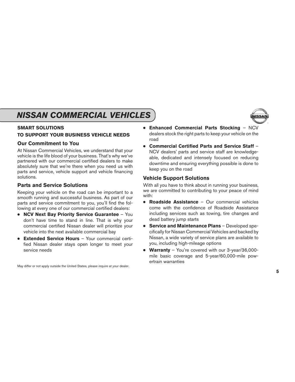## <span id="page-6-0"></span>*NISSAN COMMERCIAL VEHICLES*

### **SMART SOLUTIONS**

### **TO SUPPORT YOUR BUSINESS VEHICLE NEEDS**

### **Our Commitment to You**

At Nissan Commercial Vehicles, we understand that your vehicle is the life blood of your business. That's why we've partnered with our commercial certified dealers to make absolutely sure that we're there when you need us with parts and service, vehicle support and vehicle financing solutions.

### **Parts and Service Solutions**

Keeping your vehicle on the road can be important to a smooth running and successful business. As part of our parts and service commitment to you, you'll find the following at every one of our commercial certified dealers:

- **NCV Next Bay Priority Service Guarantee** You don't have time to stand in line. That is why your commercial certified Nissan dealer will prioritize your vehicle into the next available commercial bay
- **Extended Service Hours** Your commercial certified Nissan dealer stays open longer to meet your service needs
- **Enhanced Commercial Parts Stocking** NCV dealers stock the right parts to keep your vehicle on the road
- **Commercial Certified Parts and Service Staff** NCV dealers' parts and service staff are knowledgeable, dedicated and intensely focused on reducing downtime and ensuring everything possible is done to keep you on the road

### **Vehicle Support Solutions**

With all you have to think about in running your business, we are committed to contributing to your peace of mind with:

- **Roadside Assistance** Our commercial vehicles come with the confidence of Roadside Assistance including services such as towing, tire changes and dead battery jump starts
- **Service and Maintenance Plans** Developed specifically for Nissan Commercial Vehicles and backed by Nissan, a wide variety of service plans are available to you, including high-mileage options
- **Warranty** You're covered with our 3-year/36,000 mile basic coverage and 5-year/60,000-mile powertrain warranties

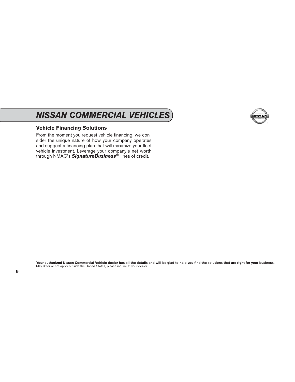## *NISSAN COMMERCIAL VEHICLES*

### **Vehicle Financing Solutions**

From the moment you request vehicle financing, we consider the unique nature of how your company operates and suggest a financing plan that will maximize your fleet vehicle investment. Leverage your company's net worth through NMAC's *SignatureBusiness*™ lines of credit.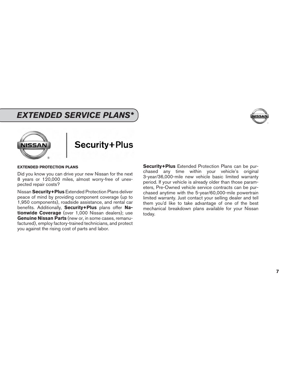### <span id="page-8-0"></span>*EXTENDED SERVICE PLANS\**





## Security+Plus

#### **EXTENDED PROTECTION PLANS**

Did you know you can drive your new Nissan for the next 8 years or 120,000 miles, almost worry-free of unexpected repair costs?

Nissan **Security+Plus** Extended Protection Plans deliver peace of mind by providing component coverage (up to 1,950 components), roadside assistance, and rental car benefits. Additionally, **Security+Plus** plans offer **Nationwide Coverage** (over 1,000 Nissan dealers); use **Genuine Nissan Parts** (new or, in some cases, remanufactured), employ factory-trained technicians, and protect you against the rising cost of parts and labor.

**Security+Plus** Extended Protection Plans can be purchased any time within your vehicle's original 3-year/36,000-mile new vehicle basic limited warranty period. If your vehicle is already older than those parameters, Pre-Owned vehicle service contracts can be purchased anytime with the 5-year/60,000-mile powertrain limited warranty. Just contact your selling dealer and tell them you'd like to take advantage of one of the best mechanical breakdown plans available for your Nissan today.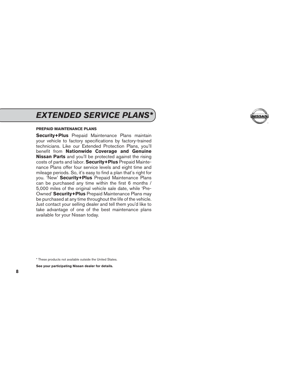### *EXTENDED SERVICE PLANS\**

#### **PREPAID MAINTENANCE PLANS**

**Security+Plus** Prepaid Maintenance Plans maintain your vehicle to factory specifications by factory-trained technicians. Like our Extended Protection Plans, you'll benefit from **Nationwide Coverage and Genuine Nissan Parts** and you'll be protected against the rising costs of parts and labor. **Security+Plus** Prepaid Maintenance Plans offer four service levels and eight time and mileage periods. So, it's easy to find a plan that's right for you. 'New' **Security+Plus** Prepaid Maintenance Plans can be purchased any time within the first 6 months / 5,000 miles of the original vehicle sale date, while 'Pre-Owned' **Security+Plus** Prepaid Maintenance Plans may be purchased at any time throughout the life of the vehicle. Just contact your selling dealer and tell them you'd like to take advantage of one of the best maintenance plans available for your Nissan today.



**See your participating Nissan dealer for details.**

<sup>\*</sup> These products not available outside the United States.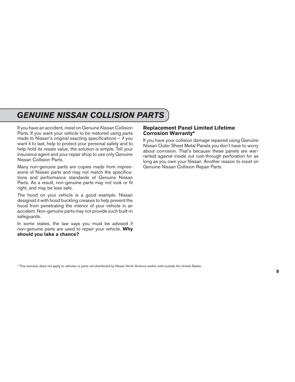## <span id="page-10-0"></span>*GENUINE NISSAN COLLISION PARTS*

If you have an accident, insist on Genuine Nissan Collision Parts. If you want your vehicle to be restored using parts made to Nissan's original exacting specifications – if you want it to last, help to protect your personal safety and to help hold its resale value, the solution is simple. Tell your insurance agent and your repair shop to use only Genuine Nissan Collision Parts.

Many non-genuine parts are copies made from impressions of Nissan parts and may not match the specifications and performance standards of Genuine Nissan Parts. As a result, non-genuine parts may not look or fit right, and may be less safe.

The hood on your vehicle is a good example. Nissan designed it with hood buckling creases to help prevent the hood from penetrating the interior of your vehicle in an accident. Non-genuine parts may not provide such built-in safeguards.

In some states, the law says you must be advised if non-genuine parts are used to repair your vehicle. **Why should you take a chance?**

### **Replacement Panel Limited Lifetime Corrosion Warranty\***

If you have your collision damage repaired using Genuine Nissan Outer Sheet Metal Panels you don't have to worry about corrosion. That's because these panels are warranted against inside out rust-through perforation for as long as you own your Nissan. Another reason to insist on Genuine Nissan Collision Repair Parts.

<sup>\*</sup> This warranty does not apply to vehicles or parts not distributed by Nissan North America and/or sold outside the United States.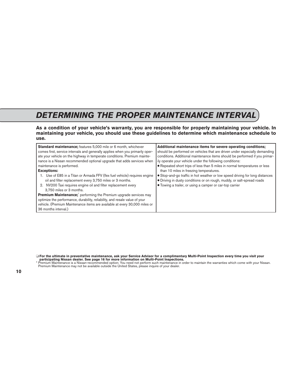## <span id="page-11-0"></span>*DETERMINING THE PROPER MAINTENANCE INTERVAL*

**As a condition of your vehicle's warranty, you are responsible for properly maintaining your vehicle. In maintaining your vehicle, you should use these guidelines to determine which maintenance schedule to use.**

| <b>Standard maintenance;</b> features 5,000 mile or 6 month, whichever                                                                                                                                                                                                                                                                                                                                                                                                                         | Additional maintenance items for severe operating conditions;                                                                                                                                                             |
|------------------------------------------------------------------------------------------------------------------------------------------------------------------------------------------------------------------------------------------------------------------------------------------------------------------------------------------------------------------------------------------------------------------------------------------------------------------------------------------------|---------------------------------------------------------------------------------------------------------------------------------------------------------------------------------------------------------------------------|
| comes first, service intervals and generally applies when you primarily oper-                                                                                                                                                                                                                                                                                                                                                                                                                  | should be performed on vehicles that are driven under especially demanding                                                                                                                                                |
| ate your vehicle on the highway in temperate conditions. Premium mainte-                                                                                                                                                                                                                                                                                                                                                                                                                       | conditions. Additional maintenance items should be performed if you primar-                                                                                                                                               |
| nance is a Nissan recommended optional upgrade that adds services when                                                                                                                                                                                                                                                                                                                                                                                                                         | ily operate your vehicle under the following conditions:                                                                                                                                                                  |
| maintenance is performed.                                                                                                                                                                                                                                                                                                                                                                                                                                                                      | • Repeated short trips of less than 5 miles in normal temperatures or less                                                                                                                                                |
| <b>Exceptions:</b>                                                                                                                                                                                                                                                                                                                                                                                                                                                                             | than 10 miles in freezing temperatures.                                                                                                                                                                                   |
| 1. Use of E85 in a Titan or Armada FFV (flex fuel vehicle) requires engine<br>oil and filter replacement every 3,750 miles or 3 months.<br>2. NV200 Taxi requires engine oil and filter replacement every<br>3.750 miles or 3 months.<br>Premium Maintenance; performing the Premium upgrade services may<br>optimize the performance, durability, reliability, and resale value of your<br>vehicle. (Premium Maintenance items are available at every 30,000 miles or<br>36 months interval.) | • Stop-and-go traffic in hot weather or low speed driving for long distances<br>· Driving in dusty conditions or on rough, muddy, or salt-spread roads<br><b>.</b> Towing a trailer, or using a camper or car-top carrier |

❑ **For the ultimate in preventative maintenance, ask your Service Advisor for a complimentary Multi-Point Inspection every time you visit your participating Nissan dealer. See page 16 for more information on Multi-Point Inspections.**

\* Premium Maintenance is a Nissan-recommended option; You need not perform such maintenance in order to maintain the warranties which come with your Nissan. Premium Maintenance may not be available outside the United States, please inquire of your dealer.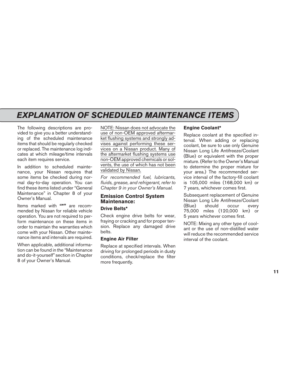<span id="page-12-0"></span>The following descriptions are provided to give you a better understanding of the scheduled maintenance items that should be regularly checked or replaced. The maintenance log indicates at which mileage/time intervals each item requires service.

In addition to scheduled maintenance, your Nissan requires that some items be checked during normal day-to-day operation. You can find these items listed under "General Maintenance" in Chapter 8 of your Owner's Manual.

Items marked with **"\*"** are recommended by Nissan for reliable vehicle operation. You are not required to perform maintenance on these items in order to maintain the warranties which come with your Nissan. Other maintenance items and intervals are required.

When applicable, additional information can be found in the "Maintenance and do-it-yourself" section in Chapter 8 of your Owner's Manual.

NOTE: Nissan does not advocate the use of non-OEM approved aftermarket flushing systems and strongly advises against performing these services on a Nissan product. Many of the aftermarket flushing systems use non-OEM approved chemicals or solvents, the use of which has not been validated by Nissan.

*For recommended fuel, lubricants, fluids, grease, and refrigerant, refer to Chapter 9 in your Owner's Manual.*

### **Emission Control System Maintenance:**

### **Drive Belts\***

Check engine drive belts for wear. fraying or cracking and for proper tension. Replace any damaged drive belts.

#### **Engine Air Filter**

Replace at specified intervals. When driving for prolonged periods in dusty conditions, check/replace the filter more frequently.

#### **Engine Coolant\***

Replace coolant at the specified interval. When adding or replacing coolant, be sure to use only Genuine Nissan Long Life Antifreeze/Coolant (Blue) or equivalent with the proper mixture. (Refer to the Owner's Manual to determine the proper mixture for your area.) The recommended service interval of the factory-fill coolant is 105,000 miles (168,000 km) or 7 years, whichever comes first.

Subsequent replacement of Genuine Nissan Long Life Antifreeze/Coolant (Blue) should occur every 75,000 miles (120,000 km) or 5 years whichever comes first.

NOTE: Mixing any other type of coolant or the use of non-distilled water will reduce the recommended service interval of the coolant.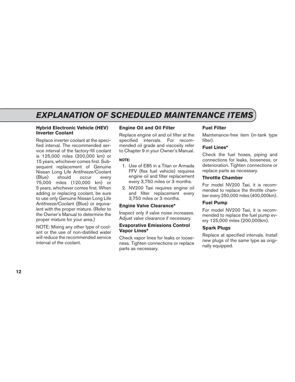#### **Hybrid Electronic Vehicle (HEV) Inverter Coolant**

Replace inverter coolant at the specified interval. The recommended service interval of the factory-fill coolant is 125,000 miles (200,000 km) or 15 years, whichever comes first. Subsequent replacement of Genuine Nissan Long Life Antifreeze/Coolant<br>(Blue) should occure every (Blue) should occur every 75,000 miles (120,000 km) or 5 years, whichever comes first. When adding or replacing coolant, be sure to use only Genuine Nissan Long Life Antifreeze/Coolant (Blue) or equivalent with the proper mixture. (Refer to the Owner's Manual to determine the proper mixture for your area.)

NOTE: Mixing any other type of coolant or the use of non-distilled water will reduce the recommended service interval of the coolant.

### **Engine Oil and Oil Filter**

Replace engine oil and oil filter at the specified intervals. For recommended oil grade and viscosity refer to Chapter 9 in your Owner's Manual.

#### **NOTE:**

- 1. Use of E85 in a Titan or Armada FFV (flex fuel vehicle) requires engine oil and filter replacement every 3,750 miles or 3 months.
- 2. NV200 Taxi requires engine oil and filter replacement every 3,750 miles or 3 months.

### **Engine Valve Clearance\***

Inspect only if valve noise increases. Adjust valve clearance if necessary.

#### **Evaporative Emissions Control Vapor Lines\***

Check vapor lines for leaks or looseness. Tighten connections or replace parts as necessary.

### **Fuel Filter**

Maintenance-free item (in-tank type filter).

### **Fuel Lines\***

Check the fuel hoses, piping and connections for leaks, looseness, or deterioration. Tighten connections or replace parts as necessary.

#### **Throttle Chamber**

For model NV200 Taxi, it is recommended to replace the throttle chamber every 250,000 miles (400,000km).

### **Fuel Pump**

For model NV200 Taxi, it is recommended to replace the fuel pump every 125,000 miles (200,000km).

### **Spark Plugs**

Replace at specified intervals. Install new plugs of the same type as originally equipped.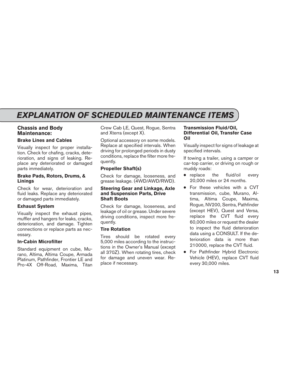### **Chassis and Body Maintenance:**

### **Brake Lines and Cables**

Visually inspect for proper installation. Check for chafing, cracks, deterioration, and signs of leaking. Replace any deteriorated or damaged parts immediately.

#### **Brake Pads, Rotors, Drums, & Linings**

Check for wear, deterioration and fluid leaks. Replace any deteriorated or damaged parts immediately.

### **Exhaust System**

Visually inspect the exhaust pipes, muffler and hangers for leaks, cracks, deterioration, and damage. Tighten connections or replace parts as necessary.

### **In-Cabin Microfilter**

Standard equipment on cube, Murano, Altima, Altima Coupe, Armada Platinum, Pathfinder, Frontier LE and Pro-4X Off-Road, Maxima, Titan Crew Cab LE, Quest, Rogue, Sentra and Xterra (except X).

Optional accessory on some models. Replace at specified intervals. When driving for prolonged periods in dusty conditions, replace the filter more frequently.

### **Propeller Shaft(s)**

Check for damage, looseness, and grease leakage. (4WD/AWD/RWD).

#### **Steering Gear and Linkage, Axle and Suspension Parts, Drive Shaft Boots**

Check for damage, looseness, and leakage of oil or grease. Under severe driving conditions, inspect more frequently.

### **Tire Rotation**

Tires should be rotated every 5,000 miles according to the instructions in the Owner's Manual (except all 370Z). When rotating tires, check for damage and uneven wear. Replace if necessary.

#### **Transmission Fluid/Oil, Differential Oil, Transfer Case Oil**

Visually inspect for signs of leakage at specified intervals.

If towing a trailer, using a camper or car-top carrier, or driving on rough or muddy roads:

- replace the fluid/oil every 20,000 miles or 24 months.
- For these vehicles with a CVT transmission, cube, Murano, Altima, Altima Coupe, Maxima, Rogue, NV200, Sentra, Pathfinder (except HEV), Quest and Versa, replace the CVT fluid every 60,000 miles or request the dealer to inspect the fluid deterioration data using a CONSULT. If the deterioration data is more than 210000, replace the CVT fluid.
- For Pathfinder Hybrid Electronic Vehicle (HEV), replace CVT fluid every 30,000 miles.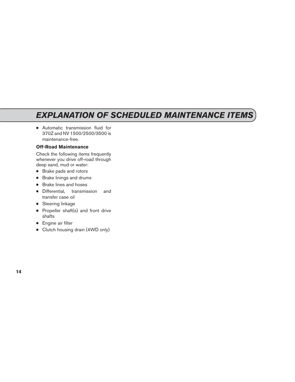● Automatic transmission fluid for 370Z and NV 1500/2500/3500 is maintenance-free.

### **Off-Road Maintenance**

Check the following items frequently whenever you drive off-road through deep sand, mud or water:

- Brake pads and rotors
- Brake linings and drums
- Brake lines and hoses
- Differential, transmission and transfer case oil
- Steering linkage
- Propeller shaft(s) and front drive shafts
- Engine air filter
- Clutch housing drain (4WD only)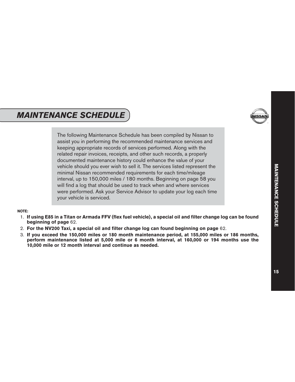## <span id="page-16-0"></span>*MAINTENANCE SCHEDULE*



The following Maintenance Schedule has been compiled by Nissan to assist you in performing the recommended maintenance services and keeping appropriate records of services performed. Along with the related repair invoices, receipts, and other such records, a properly documented maintenance history could enhance the value of your vehicle should you ever wish to sell it. The services listed represent the minimal Nissan recommended requirements for each time/mileage interval, up to 150,000 miles / 180 months. Beginning on page 58 you will find a log that should be used to track when and where services were performed. Ask your Service Advisor to update your log each time your vehicle is serviced.

#### **NOTE:**

- 1. **If using E85 in a Titan or Armada FFV (flex fuel vehicle), a special oil and filter change log can be found beginning of page** 62.
- 2. **For the NV200 Taxi, a special oil and filter change log can found beginning on page** 62.
- 3. **If you exceed the 150,000 miles or 180 month maintenance period, at 155,000 miles or 186 months, perform maintenance listed at 5,000 mile or 6 month interval, at 160,000 or 194 months use the 10,000 mile or 12 month interval and continue as needed.**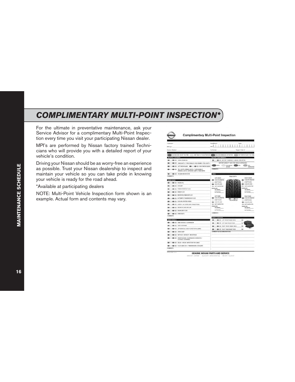### <span id="page-17-0"></span>*COMPLIMENTARY MULTI-POINT INSPECTION\**

For the ultimate in preventative maintenance, ask your Service Advisor for a complimentary Multi-Point Inspection every time you visit your participating Nissan dealer.

MPI's are performed by Nissan factory trained Technicians who will provide you with a detailed report of your vehicle's condition.

Driving your Nissan should be as worry-free an experience as possible. Trust your Nissan dealership to inspect and maintain your vehicle so you can take pride in knowing your vehicle is ready for the road ahead.

\*Available at participating dealers

NOTE: Multi-Point Vehicle Inspection form shown is an example. Actual form and contents may vary.

| Contarer:                                                                                                                                                                                                                            | <b>Yasa/Model</b>                                                                    | Date                                         |
|--------------------------------------------------------------------------------------------------------------------------------------------------------------------------------------------------------------------------------------|--------------------------------------------------------------------------------------|----------------------------------------------|
| Minage:                                                                                                                                                                                                                              | VIN:                                                                                 |                                              |
| Service Advisor:                                                                                                                                                                                                                     | Technicians:                                                                         | Repair Circles &:                            |
|                                                                                                                                                                                                                                      |                                                                                      |                                              |
|                                                                                                                                                                                                                                      |                                                                                      |                                              |
| <b>INTERIOR/EXTERIOR</b><br><b>B-B-B-HORK OFEMENT</b>                                                                                                                                                                                | <b>BATTERY PERFORMANCE</b><br><b>EDITOR CONSULTERY TERMINALS / CABLES / MOUNTING</b> |                                              |
| <b>EDITOR CONTRACTOR CONTRACTOR IN A STATE OF A STATE OF A STATE OF A STATE OF A STATE OF A STATE OF A STATE OF A STATE OF A STATE OF A STATE OF A STATE OF A STATE OF A STATE OF A STATE OF A STATE OF A STATE OF A STATE OF A </b> | BATTERY CARBOTY TEST (TEST REBULTS ATTACHED)                                         |                                              |
| ON HE LET WITH SLACE OR HE AND ROLL WITH SLACE                                                                                                                                                                                       | <b>DASS</b><br><b>RECHARGE/</b><br>atrest                                            | <b>BEAR</b><br><b>ACT</b>                    |
| THE RESIDENCE COUNTS / ERAND LIGHTS / TURN SIGNALS /<br>REVERSE LIGHTS / EXTERIOR LAWPS / REAR WIPER                                                                                                                                 | <b>COMMENTS</b>                                                                      | INSPECTED                                    |
| <b>ED III (ED III)</b> NOARN MICROFILTER                                                                                                                                                                                             | THES.                                                                                |                                              |
| <b>COMMENTS</b>                                                                                                                                                                                                                      | TREAD DEPTH<br>LEST FRONT                                                            | <b>BIGHT FRONT</b>                           |
| UNDER HOOD                                                                                                                                                                                                                           | <b>CONTRACTOR</b> VALUES OF ALL AND                                                  | A 7/10 OR GREATER                            |
| <b>BUT HER ATTN: ENGINE CHI</b>                                                                                                                                                                                                      | W30 70 470                                                                           | A/32 TO 6/30                                 |
| <b>B B COUNT</b>                                                                                                                                                                                                                     | <b>ABB S/30 CHILESS</b><br><b><i>ISSN NOT INSPECTED</i></b>                          | <b>BELIO STATE</b><br><b>IS NOT NAPECTED</b> |
| <b>CONTRACTOR STEERING FLUID</b>                                                                                                                                                                                                     | PRESSURE<br>INCOMING.                                                                | 2009/03/05<br><b>INCOMING</b>                |
| <b>CO-CO SAALTUO</b>                                                                                                                                                                                                                 | CUTGOING                                                                             | OUTGOING                                     |
| <b>ED IS WADSHELD WASHER FLUD</b>                                                                                                                                                                                                    | <b>LEFT REAR</b>                                                                     | <b>RIGHT REAR</b>                            |
| <b>400 GS AUTOMATIC TRANSMISSION FLUID</b><br>-                                                                                                                                                                                      | <b>CONTRACTOR CARLACTER</b><br>--                                                    | <b>BE AVID OR GREATER</b>                    |
| <b>ED III ED III</b> COOLING SYSTEM HOSES                                                                                                                                                                                            | CON DT 92.6732<br>TIRE SOTATION<br><b>GB</b> 3/31 OR LESS                            | 4/32 TO 6/33<br><b>400 3/31 09 10:05</b>     |
| <b>420 CO HEATER / AC HOSES AND CONNECTIONS</b>                                                                                                                                                                                      | 400 NOT INSPECTED                                                                    | 400 NOT INSPECTED                            |
| GEN CON AND ANOUNCE CORE AND CAP                                                                                                                                                                                                     | PRESSURE<br>INCOMING.                                                                | PRESELVED<br>INCOMING.                       |
| <b>BELLE CONTRACTLY AND INCOME ART FILTER</b>                                                                                                                                                                                        | CUTGOING                                                                             | outsons                                      |
| <b>CONTRACTOR CONTRACTS</b>                                                                                                                                                                                                          | <b>COMMENTS</b>                                                                      |                                              |
| COMMINTS                                                                                                                                                                                                                             |                                                                                      |                                              |
| <b>INDEX VEHICLE</b>                                                                                                                                                                                                                 | <b>BRAKE CONDITION</b><br>THE CASE OF LEFT FRONT BRAKE PACK.                         | <b>MM</b>                                    |
| THE REAL REAL ENDOWS / SUSPENSION                                                                                                                                                                                                    |                                                                                      |                                              |
| <b>CONTRACTOR REAR SUBFRAME</b><br>۰                                                                                                                                                                                                 | <b>ID - ID ID LEFT REAL ERAKE FACE</b>                                               | uu                                           |
| THE CONTRACTOR CONDITION & LEAKED                                                                                                                                                                                                    | <b>ED III AD IS RIGHT FRONT SIGNS FACS</b>                                           | uu                                           |
| <b>CONTRACTOR CONVERSIONARY</b>                                                                                                                                                                                                      | <b>ED III GD IS ROYT REAL BEAKE FACE.</b><br>COMMENTS & RECOMMENDATIONS              | ww                                           |
| <b>GEN (III) MUFFLER / EXHAUST / MOUNTINGS</b>                                                                                                                                                                                       |                                                                                      |                                              |
| THE ROAD PROVE SHOCKS / SUSPENSION IDV BOOTS /                                                                                                                                                                                       |                                                                                      |                                              |
| THE ROOS / BLISHINGED                                                                                                                                                                                                                |                                                                                      |                                              |
| <b>EDITOR BOOK AXLES - VISILAL INSPECTION FOR LEAKS</b>                                                                                                                                                                              |                                                                                      |                                              |
| TRANSVERSION / TRANSVERSION / COOLANTI                                                                                                                                                                                               |                                                                                      |                                              |
| <b>COMMENTS</b>                                                                                                                                                                                                                      |                                                                                      |                                              |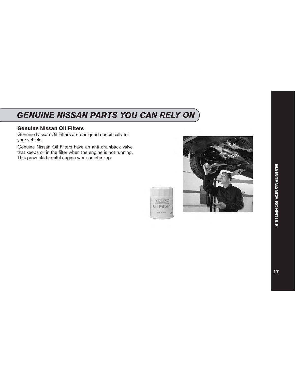## <span id="page-18-0"></span>*GENUINE NISSAN PARTS YOU CAN RELY ON*

### **Genuine Nissan Oil Filters**

Genuine Nissan Oil Filters are designed specifically for your vehicle.

Genuine Nissan Oil Filters have an anti-drainback valve that keeps oil in the filter when the engine is not running. This prevents harmful engine wear on start-up.



**Qil Filter**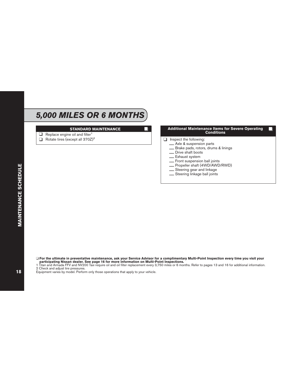## *5,000 MILES OR 6 MONTHS*

#### **STANDARD MAINTENANCE**

- $\Box$  Replace engine oil and filter<sup>1</sup>
- $\Box$  Rotate tires (except all 370Z)<sup>2</sup>

#### **Additional Maintenance Items for Severe Operating Conditions**

- $\Box$  Inspect the following:<br>  $\Box$  Axle & suspension parts
	-
	-
	-
	-
	-
	- Brake pads, rotors, drums & linings<br>
	 Drive shaft boots<br>
	 Exhaust system<br>
	 Front suspension ball joints<br>
	 Propeller shaft (4WD/AWD/RWD)<br>
	 Steering gear and linkage<br>
	 Steering linkage ball joints
	-
	-

**MAINTENANCE SCHEDULE** 

❑ **For the ultimate in preventative maintenance, ask your Service Advisor for a complimentary Multi-Point Inspection every time you visit your participating Nissan dealer. See page 16 for more information on Multi-Point Inspections.**

1 Titan and Armada FFV and NV200 Taxi require oil and oil filter replacement every 3,750 miles or 6 months. Refer to pages 13 and 16 for additional information.

2 Check and adjust tire pressures.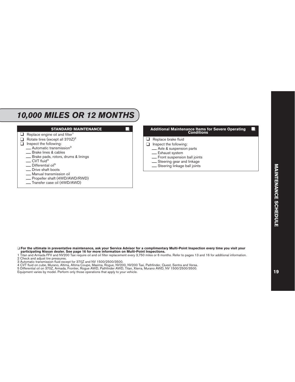### *10,000 MILES OR 12 MONTHS*

#### **STANDARD MAINTENANCE**

- $\Box$  Replace engine oil and filter<sup>1</sup>
- Rotate tires (except all 370Z)<sup>2</sup><br>
Inspect the following:
- Inspect the following:
	- $\frac{1}{\sqrt{2}}$  Automatic transmission<sup>3</sup>
	-
	- Brake pads, rotors, drums & linings  $CVT$  fluid<sup>4</sup>
	-
	- Differential oil<sup>5</sup><br>Drive shaft boots
	-
	-
	- \_\_ Manual transmission oil<br>\_\_ Propeller shaft (4WD/AWD/RWD)<br>\_\_ Transfer case oil (4WD/AWD)
	-



- 
- \_\_ Exhaust system<br>\_\_ Front suspension ball joints<br>\_\_ Steering gear and linkage<br>\_\_ Steering linkage ball joints
- 
- 

❑ **For the ultimate in preventative maintenance, ask your Service Advisor for a complimentary Multi-Point Inspection every time you visit your participating Nissan dealer. See page 16 for more information on Multi-Point Inspections.**

- 1 Titan and Armada FFV and NV200 Taxi require oil and oil filter replacement every 3,750 miles or 6 months. Refer to pages 13 and 16 for additional information.
- 2 Check and adjust tire pressures.
- 3 Automatic transmission fluid except for 370Z and NV 1500/2500/3500.
- 4 CVT fluid on cube, Murano, Altima, Altima Coupe, Maxima, Rogue, NV200, NV200 Taxi, Pathfinder, Quest, Sentra and Versa.
- 5 Differential oil on 370Z, Armada, Frontier, Rogue AWD, Pathfinder AWD, Titan, Xterra, Murano AWD, NV 1500/2500/3500.
- Equipment varies by model. Perform only those operations that apply to your vehicle.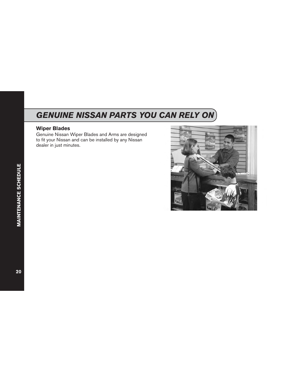## <span id="page-21-0"></span>*GENUINE NISSAN PARTS YOU CAN RELY ON*

### **Wiper Blades**

Genuine Nissan Wiper Blades and Arms are designed to fit your Nissan and can be installed by any Nissan dealer in just minutes.

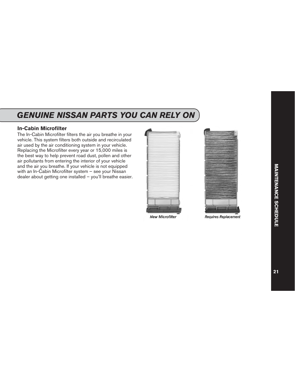## <span id="page-22-0"></span>*GENUINE NISSAN PARTS YOU CAN RELY ON*

### **In-Cabin Microfilter**

The In-Cabin Microfilter filters the air you breathe in your vehicle. This system filters both outside and recirculated air used by the air conditioning system in your vehicle. Replacing the Microfilter every year or 15,000 miles is the best way to help prevent road dust, pollen and other air pollutants from entering the interior of your vehicle and the air you breathe. If your vehicle is not equipped with an In-Cabin Microfilter system – see your Nissan dealer about getting one installed – you'll breathe easier.





**New Microfilter** 

**Requires Replacement**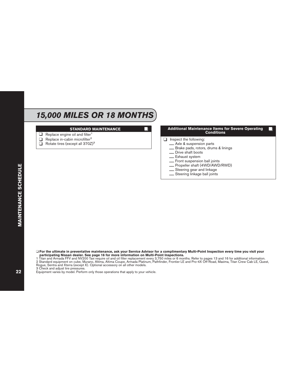## *15,000 MILES OR 18 MONTHS*

#### **STANDARD MAINTENANCE**

- $\Box$  Replace engine oil and filter<sup>1</sup>
- □ Replace in-cabin microfilter<sup>2</sup>
- ❑ Rotate tires (except all 370Z)<sup>3</sup>

#### **Additional Maintenance Items for Severe Operating Conditions**

- $\Box$  Inspect the following:<br>  $\Box$  Axle & suspension parts
	-
	-
	-
	-
	-
	- Brake pads, rotors, drums & linings<br>
	 Drive shaft boots<br>
	 Exhaust system<br>
	 Front suspension ball joints<br>
	 Propeller shaft (4WD/AWD/RWD)<br>
	 Steering gear and linkage<br>
	 Steering linkage ball joints
	-
	-

❑ **For the ultimate in preventative maintenance, ask your Service Advisor for a complimentary Multi-Point Inspection every time you visit your participating Nissan dealer. See page 16 for more information on Multi-Point Inspections.**

3 Check and adjust tire pressures.

<sup>1</sup> Titan and Armada FFV and NV200 Taxi require oil and oil filter replacement every 3,750 miles or 6 months. Refer to pages 13 and 16 for additional information. 2 Standard equipment on cube, Murano, Altima, Altima Coupe, Armada Platinum, Pathfinder, Frontier LE and Pro-4X Off-Road, Maxima, Titan Crew Cab LE, Quest, Rogue, Sentra and Xterra (except X). Optional accessory on all other models.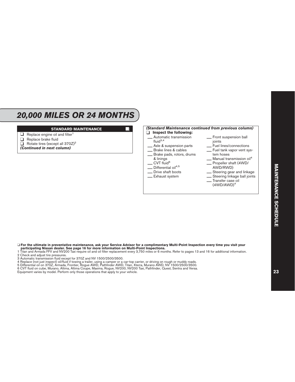### *20,000 MILES OR 24 MONTHS*

#### **STANDARD MAINTENANCE**

- $\Box$  Replace engine oil and filter<sup>1</sup>
- ❑ Replace brake fluid
- $\Box$  Rotate tires (except all 370Z)<sup>2</sup>
- *(Continued in next column)*



#### ❑ **For the ultimate in preventative maintenance, ask your Service Advisor for a complimentary Multi-Point Inspection every time you visit your participating Nissan dealer. See page 16 for more information on Multi-Point Inspections.**

1 Titan and Armada FFV and NV200 Taxi require oil and oil filter replacement every 3,750 miles or 6 months. Refer to pages 13 and 16 for additional information.

- 2 Check and adjust tire pressures.
- 3 Automatic transmission fluid except for 370Z and NV 1500/2500/3500.
- 4 Replace (not just inspect) oil/fluid if towing a trailer, using a camper or a car-top carrier, or driving on rough or muddy roads.
- 5 Differential oil on 370Z, Armada, Frontier, Rogue AWD, Pathfinder AWD, Titan, Xterra, Murano AWD, NV 1500/2500/3500.

6 CVT fluid on cube, Murano, Altima, Altima Coupe, Maxima, Rogue, NV200, NV200 Taxi, Pathfinder, Quest, Sentra and Versa.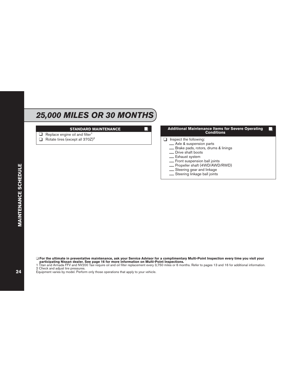## *25,000 MILES OR 30 MONTHS*

#### **STANDARD MAINTENANCE**

- $\Box$  Replace engine oil and filter<sup>1</sup>
- $\Box$  Rotate tires (except all 370Z)<sup>2</sup>

#### **Additional Maintenance Items for Severe Operating Conditions**

- □ Inspect the following:<br>
<u></u>Axle & suspension parts
	-
	-
	-
	-
	-
	- Brake pads, rotors, drums & linings<br>
	 Drive shaft boots<br>
	 Exhaust system<br>
	 Front suspension ball joints<br>
	 Propeller shaft (4WD/AWD/RWD)<br>
	 Steering gear and linkage<br>
	 Steering linkage ball joints
	-
	-

❑ **For the ultimate in preventative maintenance, ask your Service Advisor for a complimentary Multi-Point Inspection every time you visit your participating Nissan dealer. See page 16 for more information on Multi-Point Inspections.**

1 Titan and Armada FFV and NV200 Taxi require oil and oil filter replacement every 3,750 miles or 6 months. Refer to pages 13 and 16 for additional information.

2 Check and adjust tire pressures.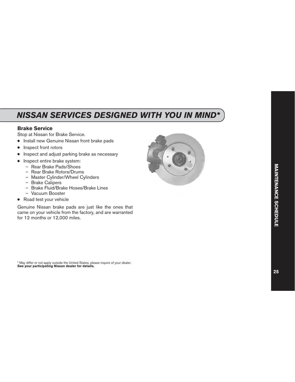## <span id="page-26-0"></span>*NISSAN SERVICES DESIGNED WITH YOU IN MIND\**

### **Brake Service**

Stop at Nissan for Brake Service.

- Install new Genuine Nissan front brake pads
- Inspect front rotors
- Inspect and adjust parking brake as necessary
- Inspect entire brake system:
	- Rear Brake Pads/Shoes
	- Rear Brake Rotors/Drums
	- Master Cylinder/Wheel Cylinders
	- Brake Calipers
	- Brake Fluid/Brake Hoses/Brake Lines
	- Vacuum Booster
- Road test your vehicle

Genuine Nissan brake pads are just like the ones that came on your vehicle from the factory, and are warranted for 12 months or 12,000 miles.



\* May differ or not apply outside the United States, please inquire of your dealer. **See your participating Nissan dealer for details.**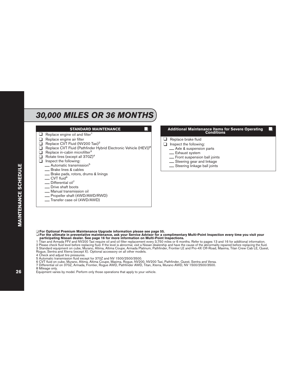## *30,000 MILES OR 36 MONTHS*

#### **STANDARD MAINTENANCE**

- $\Box$  Replace engine oil and filter<sup>1</sup>
- ❑ Replace engine air filter
- □ Replace CVT Fluid (NV200 Taxi)<sup>2</sup>
- □ Replace CVT Fluid (Pathfinder Hybrid Electronic Vehicle (HEV))<sup>8</sup>
- $\Box$  Replace in-cabin microfilter<sup>3</sup><br> $\Box$  Rotate tires (except all 370Z)
- ❑ Rotate tires (except all 370Z)<sup>4</sup>
- Inspect the following:
	- $\frac{1}{2}$  Automatic transmission<sup>5</sup><br>Brake lines & cables
	-
	- <mark>\_ B</mark>rake pads, rotors, drums & linings<br>\_ CVT fluid<sup>6</sup>
	-
	- Differential oil<sup>7</sup><br>Drive shaft boots
	-
	-
	- \_ Manual transmission oil<br>\_ Propeller shaft (4WD/AWD/RWD)<br>\_ Transfer case oil (4WD/AWD)
	-

# **Additional Maintenance Items for Severe Operating Conditions**

- ❑ Replace brake fluid
- Inspect the following:<br>
<u></u>Axle & suspension parts
	-
	-
	- \_\_ Exhaust system<br>\_\_ Front suspension ball joints<br>\_\_ Steering gear and linkage<br>\_\_ Steering linkage ball joints
	-
	-

❑ **For Optional Premium Maintenance Upgrade information please see page 55.**

❑ **For the ultimate in preventative maintenance, ask your Service Advisor for a complimentary Multi-Point Inspection every time you visit your participating Nissan dealer. See page 16 for more information on Multi-Point Inspections.**

1 Titan and Armada FFV and NV200 Taxi require oil and oil filter replacement every 3,750 miles or 6 months. Refer to pages 13 and 16 for additional information.

2 Please check fluid level before replacing fluid. If the level is abnormal, visit a Nissan dealership and have the cause of the abnormality repaired before replacing the fluid.

3 Standard equipment on cube, Murano, Altima, Altima Coupe, Armada Platinum, Pathfinder, Frontier LE and Pro-4X Off-Road, Maxima, Titan Crew Cab LE, Quest, Rogue, Sentra and Xterra (except X). Optional accessory on all other models.

4 Check and adjust tire pressures.

- 6 CVT fluid on cube, Murano, Altima, Altima Coupe, Maxima, Rogue, NV200, NV200 Taxi, Pathfinder, Quest, Sentra and Versa.
- 7 Differential oil on 370Z, Armada, Frontier, Rogue AWD, Pathfinder AWD, Titan, Xterra, Murano AWD, NV 1500/2500/3500.
- 8 Mileage only.

<sup>5</sup> Automatic transmission fluid except for 370Z and NV 1500/2500/3500.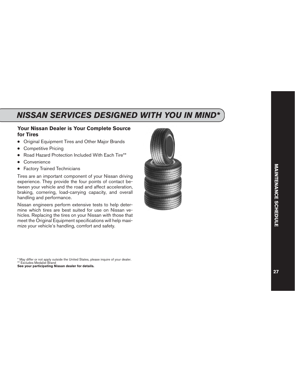## <span id="page-28-0"></span>*NISSAN SERVICES DESIGNED WITH YOU IN MIND\**

### **Your Nissan Dealer is Your Complete Source for Tires**

- Original Equipment Tires and Other Major Brands
- Competitive Pricing
- Road Hazard Protection Included With Each Tire\*\*
- Convenience
- **Factory Trained Technicians**

Tires are an important component of your Nissan driving experience. They provide the four points of contact between your vehicle and the road and affect acceleration, braking, cornering, load-carrying capacity, and overall handling and performance.

Nissan engineers perform extensive tests to help determine which tires are best suited for use on Nissan vehicles. Replacing the tires on your Nissan with those that meet the Original Equipment specifications will help maximize your vehicle's handling, comfort and safety.



\* May differ or not apply outside the United States, please inquire of your dealer. \*\* Excludes Medalist Brand

**See your participating Nissan dealer for details.**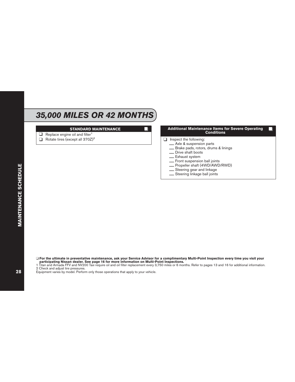## *35,000 MILES OR 42 MONTHS*

#### **STANDARD MAINTENANCE**

- $\Box$  Replace engine oil and filter<sup>1</sup>
- $\Box$  Rotate tires (except all 370Z)<sup>2</sup>

#### **Additional Maintenance Items for Severe Operating Conditions**

- □ Inspect the following:<br>
<u></u>Axle & suspension parts
	-
	-
	-
	-
	-
	- Brake pads, rotors, drums & linings<br>
	 Drive shaft boots<br>
	 Exhaust system<br>
	 Front suspension ball joints<br>
	 Propeller shaft (4WD/AWD/RWD)<br>
	 Steering gear and linkage<br>
	 Steering linkage ball joints
	-
	-

❑ **For the ultimate in preventative maintenance, ask your Service Advisor for a complimentary Multi-Point Inspection every time you visit your participating Nissan dealer. See page 16 for more information on Multi-Point Inspections.**

1 Titan and Armada FFV and NV200 Taxi require oil and oil filter replacement every 3,750 miles or 6 months. Refer to pages 13 and 16 for additional information.

2 Check and adjust tire pressures.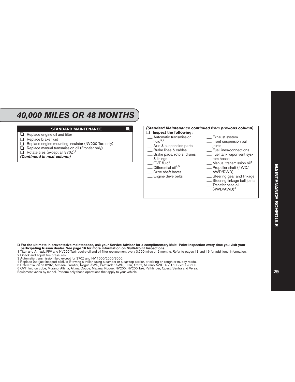### *40,000 MILES OR 48 MONTHS*

#### **STANDARD MAINTENANCE**

- $\Box$  Replace engine oil and filter<sup>1</sup>
- $\Box$  Replace brake fluid<br> $\Box$  Replace engine more
- $\Box$  Replace engine mounting insulator (NV200 Taxi only)<br> $\Box$  Replace manual transmission oil (Frontier only)
- **□** Replace manual transmission oil (Frontier only)<br>□ Rotate tires (except all  $370Z$ )<sup>2</sup>
- Rotate tires (except all 370Z)<sup>2</sup>

#### *(Continued in next column)*



#### ❑ **For the ultimate in preventative maintenance, ask your Service Advisor for a complimentary Multi-Point Inspection every time you visit your participating Nissan dealer. See page 16 for more information on Multi-Point Inspections.**

1 Titan and Armada FFV and NV200 Taxi require oil and oil filter replacement every 3,750 miles or 6 months. Refer to pages 13 and 16 for additional information.

- 2 Check and adjust tire pressures.
- 3 Automatic transmission fluid except for 370Z and NV 1500/2500/3500.
- 4 Replace (not just inspect) oil/fluid if towing a trailer, using a camper or a car-top carrier, or driving on rough or muddy roads.

5 Differential oil on 370Z, Armada, Frontier, Rogue AWD, Pathfinder AWD, Titan, Xterra, Murano AWD, NV 1500/2500/3500.

6 CVT fluid on cube, Murano, Altima, Altima Coupe, Maxima, Rogue, NV200, NV200 Taxi, Pathfinder, Quest, Sentra and Versa.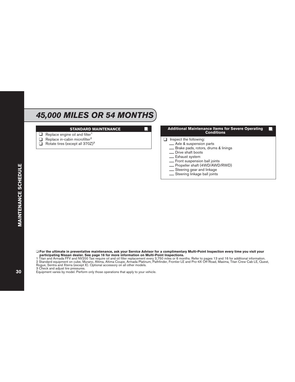## *45,000 MILES OR 54 MONTHS*

#### **STANDARD MAINTENANCE**

- $\Box$  Replace engine oil and filter<sup>1</sup>
- □ Replace in-cabin microfilter<sup>2</sup>
- ❑ Rotate tires (except all 370Z)<sup>3</sup>

#### **Additional Maintenance Items for Severe Operating Conditions**

- $\Box$  Inspect the following:<br>  $\Box$  Axle & suspension parts
	-
	-
	-
	-
	-
	- Brake pads, rotors, drums & linings<br>
	 Drive shaft boots<br>
	 Exhaust system<br>
	 Front suspension ball joints<br>
	 Propeller shaft (4WD/AWD/RWD)<br>
	 Steering gear and linkage<br>
	 Steering linkage ball joints
	-
	-

❑ **For the ultimate in preventative maintenance, ask your Service Advisor for a complimentary Multi-Point Inspection every time you visit your participating Nissan dealer. See page 16 for more information on Multi-Point Inspections.**

3 Check and adjust tire pressures.

<sup>1</sup> Titan and Armada FFV and NV200 Taxi require oil and oil filter replacement every 3,750 miles or 6 months. Refer to pages 13 and 16 for additional information. 2 Standard equipment on cube, Murano, Altima, Altima Coupe, Armada Platinum, Pathfinder, Frontier LE and Pro-4X Off-Road, Maxima, Titan Crew Cab LE, Quest, Rogue, Sentra and Xterra (except X). Optional accessory on all other models.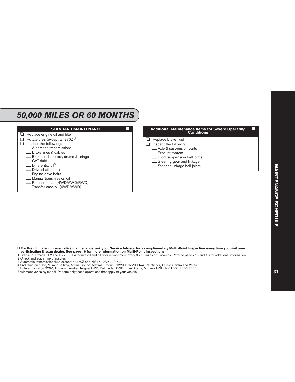### *50,000 MILES OR 60 MONTHS*



❑ **For the ultimate in preventative maintenance, ask your Service Advisor for a complimentary Multi-Point Inspection every time you visit your participating Nissan dealer. See page 16 for more information on Multi-Point Inspections.**

1 Titan and Armada FFV and NV200 Taxi require oil and oil filter replacement every 3,750 miles or 6 months. Refer to pages 13 and 16 for additional information.

2 Check and adjust tire pressures.

3 Automatic transmission fluid except for 370Z and NV 1500/2500/3500.

4 CVT fluid on cube, Murano, Altima, Altima Coupe, Maxima, Rogue, NV200, NV200 Taxi, Pathfinder, Quest, Sentra and Versa.

5 Differential oil on 370Z, Armada, Frontier, Rogue AWD, Pathfinder AWD, Titan, Xterra, Murano AWD, NV 1500/2500/3500.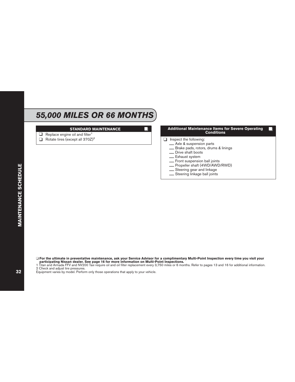## *55,000 MILES OR 66 MONTHS*

#### **STANDARD MAINTENANCE**

- $\Box$  Replace engine oil and filter<sup>1</sup>
- $\Box$  Rotate tires (except all 370Z)<sup>2</sup>

#### **Additional Maintenance Items for Severe Operating Conditions**

- □ Inspect the following:<br>
<u></u>Axle & suspension parts
	-
	-
	-
	-
	-
	- Brake pads, rotors, drums & linings<br>
	 Drive shaft boots<br>
	 Exhaust system<br>
	 Front suspension ball joints<br>
	 Propeller shaft (4WD/AWD/RWD)<br>
	 Steering gear and linkage<br>
	 Steering linkage ball joints
	-
	-

❑ **For the ultimate in preventative maintenance, ask your Service Advisor for a complimentary Multi-Point Inspection every time you visit your participating Nissan dealer. See page 16 for more information on Multi-Point Inspections.**

1 Titan and Armada FFV and NV200 Taxi require oil and oil filter replacement every 3,750 miles or 6 months. Refer to pages 13 and 16 for additional information.

2 Check and adjust tire pressures.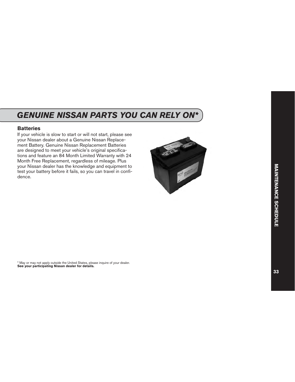## <span id="page-34-0"></span>*GENUINE NISSAN PARTS YOU CAN RELY ON\**

### **Batteries**

If your vehicle is slow to start or will not start, please see your Nissan dealer about a Genuine Nissan Replacement Battery. Genuine Nissan Replacement Batteries are designed to meet your vehicle's original specifications and feature an 84 Month Limited Warranty with 24 Month Free Replacement, regardless of mileage. Plus your Nissan dealer has the knowledge and equipment to test your battery before it fails, so you can travel in confidence.



\* May or may not apply outside the United States, please inquire of your dealer. **See your participating Nissan dealer for details.**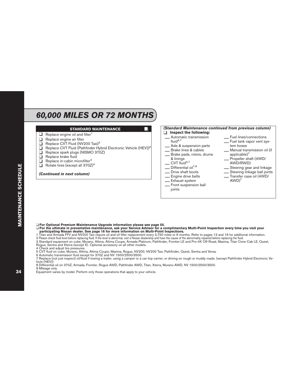## *60,000 MILES OR 72 MONTHS*

#### **STANDARD MAINTENANCE**

- $\Box$  Replace engine oil and filter<sup>1</sup>
- ❑ Replace engine air filter
- □ Replace CVT Fluid (NV200 Taxi)<sup>2</sup>
- □ Replace CVT Fluid (Pathfinder Hybrid Electronic Vehicle (HEV))<sup>9</sup>
- ❑ Replace spark plugs (NISMO 370Z)
- ❑ Replace brake fluid
- $\Box$  Replace in-cabin microfilter<sup>3</sup>
- $\Box$  Rotate tires (except all 370Z)<sup>4</sup>

#### *(Continued in next column)*

### *(Standard Maintenance continued from previous column)*

- ❑ **Inspect the following:** \_\_ Automatic transmission  $f|$ uid<sup>6,7</sup>
- 
- 
- **\_\_ A**xle & suspension parts<br>**\_\_** Brake lines & cables<br>**\_\_** Brake pads, rotors, drums<br>& linings
- $\sim$  CVT fluid<sup>5,7</sup>
- 
- $\sum$  Differential oil<sup>7,8</sup><br>Drive shaft boots
- 
- 
- \_\_ Drive shaft boots \_\_ Engine drive belts \_\_ Exhaust system \_\_ Front suspension ball joints
- 
- \_\_ Fuel lines/connections \_\_ Fuel tank vapor vent sys-
- Manual transmission oil (if applicable $)^7$
- \_\_ Propeller shaft (4WD/<br>AWD/RWD)
- 
- AWD/RWD) \_\_ Steering gear and linkage \_\_ Steering linkage ball joints \_\_ Transfer case oil (4WD/
- $AWD$ <sup>7</sup>

❑ **For Optional Premium Maintenance Upgrade information please see page 55.**

❑ **For the ultimate in preventative maintenance, ask your Service Advisor for a complimentary Multi-Point Inspection every time you visit your participating Nissan dealer. See page 16 for more information on Multi-Point Inspections.**

1 Titan and Armada FFV and NV200 Taxi require oil and oil filter replacement every 3,750 miles or 6 months. Refer to pages 13 and 16 for additional information.

2 Please check fluid level before replacing fluid. If the level is abnormal, visit a Nissan dealership and have the cause of the abnormality repaired before replacing the fluid.

3 Standard equipment on cube, Murano, Altima, Altima Coupe, Armada Platinum, Pathfinder, Frontier LE and Pro-4X Off-Road, Maxima, Titan Crew Cab LE, Quest, Rogue, Sentra and Xterra (except X). Optional accessory on all other models.

4 Check and adjust tire pressures.

- 5 CVT fluid on cube, Murano, Altima, Altima Coupe, Maxima, Rogue, NV200, NV200 Taxi, Pathfinder, Quest, Sentra and Versa.
- 6 Automatic transmission fluid except for 370Z and NV 1500/2500/3500.

7 Replace (not just inspect) oil/fluid if towing a trailer, using a camper or a car-top carrier, or driving on rough or muddy roads. (except Pathfinder Hybrid Electronic Vehicle (HEV))

8 Differential oil on 370Z, Armada, Frontier, Rogue AWD, Pathfinder AWD, Titan, Xterra, Murano AWD, NV 1500/2500/3500.

9 Mileage only.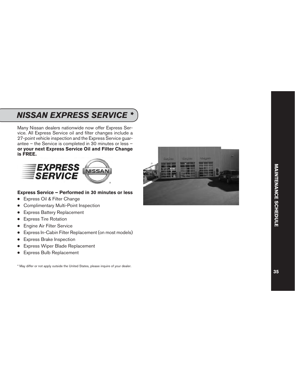### <span id="page-36-0"></span>*NISSAN EXPRESS SERVICE \**

Many Nissan dealers nationwide now offer Express Service. All Express Service oil and filter changes include a 27-point vehicle inspection and the Express Service guarantee – the Service is completed in 30 minutes or less – **or your next Express Service Oil and Filter Change is FREE.**



#### **Express Service – Performed in 30 minutes or less**

- Express Oil & Filter Change
- Complimentary Multi-Point Inspection
- **Express Battery Replacement**
- **Express Tire Rotation**
- **Engine Air Filter Service**
- Express In-Cabin Filter Replacement (on most models)
- **Express Brake Inspection**
- **Express Wiper Blade Replacement**
- **Express Bulb Replacement**

\* May differ or not apply outside the United States, please inquire of your dealer.

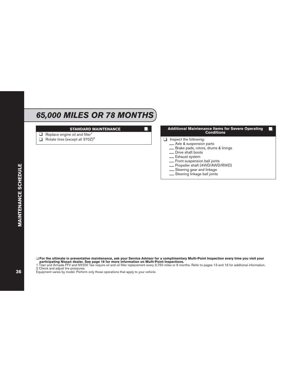### *65,000 MILES OR 78 MONTHS*

#### **STANDARD MAINTENANCE**

- $\Box$  Replace engine oil and filter<sup>1</sup>
- $\Box$  Rotate tires (except all 370Z)<sup>2</sup>

#### **Additional Maintenance Items for Severe Operating Conditions**

- □ Inspect the following:<br>
<u></u>Axle & suspension parts
	-
	-
	-
	-
	-
	- Brake pads, rotors, drums & linings<br>
	 Drive shaft boots<br>
	 Exhaust system<br>
	 Front suspension ball joints<br>
	 Propeller shaft (4WD/AWD/RWD)<br>
	 Steering gear and linkage<br>
	 Steering linkage ball joints
	-
	-

❑ **For the ultimate in preventative maintenance, ask your Service Advisor for a complimentary Multi-Point Inspection every time you visit your participating Nissan dealer. See page 16 for more information on Multi-Point Inspections.**

1 Titan and Armada FFV and NV200 Taxi require oil and oil filter replacement every 3,750 miles or 6 months. Refer to pages 13 and 16 for additional information.

2 Check and adjust tire pressures.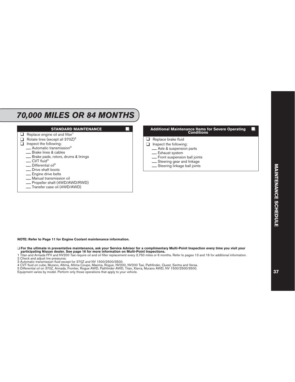### *70,000 MILES OR 84 MONTHS*



**NOTE: Refer to Page 11 for Engine Coolant maintenance information.**

- ❑ **For the ultimate in preventative maintenance, ask your Service Advisor for a complimentary Multi-Point Inspection every time you visit your participating Nissan dealer. See page 16 for more information on Multi-Point Inspections.**
- 1 Titan and Armada FFV and NV200 Taxi require oil and oil filter replacement every 3,750 miles or 6 months. Refer to pages 13 and 16 for additional information.
- 2 Check and adjust tire pressures.
- 3 Automatic transmission fluid except for 370Z and NV 1500/2500/3500.
- 4 CVT fluid on cube, Murano, Altima, Altima Coupe, Maxima, Rogue, NV200, NV200 Taxi, Pathfinder, Quest, Sentra and Versa.
- 5 Differential oil on 370Z, Armada, Frontier, Rogue AWD, Pathfinder AWD, Titan, Xterra, Murano AWD, NV 1500/2500/3500.
- Equipment varies by model. Perform only those operations that apply to your vehicle.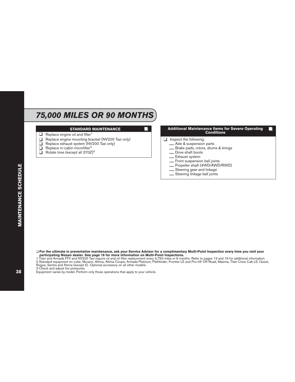## *75,000 MILES OR 90 MONTHS*

#### **STANDARD MAINTENANCE**

- $\Box$  Replace engine oil and filter<sup>1</sup>
- ❑ Replace engine mounting bracket (NV200 Taxi only)
- $\Box$  Replace exhaust system (NV200 Taxi only)<br> $\Box$  Replace in-cabin microfilter<sup>2</sup>
- $\overline{\Box}$  Replace in-cabin microfilter<sup>2</sup><br> $\Box$  Rotate tires (except all 370Z)
- Rotate tires (except all 370Z)<sup>3</sup>

#### **Additional Maintenance Items for Severe Operating Conditions**

- $\Box$  Inspect the following:<br>  $\Box$  Axle & suspension parts
	-
	-
	-
	-
	-
	- Brake pads, rotors, drums & linings<br>
	 Drive shaft boots<br>
	 Exhaust system<br>
	 Front suspension ball joints<br>
	 Propeller shaft (4WD/AWD/RWD)<br>
	 Steering gear and linkage<br>
	 Steering linkage ball joints
	-
	-

❑ **For the ultimate in preventative maintenance, ask your Service Advisor for a complimentary Multi-Point Inspection every time you visit your participating Nissan dealer. See page 16 for more information on Multi-Point Inspections.**

3 Check and adjust tire pressures.

<sup>1</sup> Titan and Armada FFV and NV200 Taxi require oil and oil filter replacement every 3,750 miles or 6 months. Refer to pages 13 and 16 for additional information. 2 Standard equipment on cube, Murano, Altima, Altima Coupe, Armada Platinum, Pathfinder, Frontier LE and Pro-4X Off-Road, Maxima, Titan Crew Cab LE, Quest, Rogue, Sentra and Xterra (except X). Optional accessory on all other models.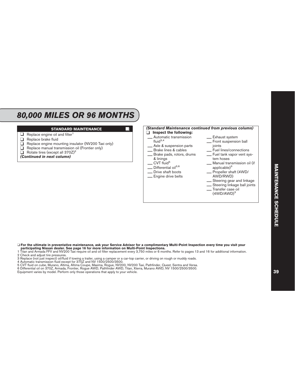### *80,000 MILES OR 96 MONTHS*

#### **STANDARD MAINTENANCE**

- $\Box$  Replace engine oil and filter<sup>1</sup>
- $\Box$  Replace brake fluid<br> $\Box$  Replace engine more
- $\Box$  Replace engine mounting insulator (NV200 Taxi only)<br> $\Box$  Replace manual transmission oil (Frontier only)
- **□** Replace manual transmission oil (Frontier only)<br>□ Rotate tires (except all  $370Z$ )<sup>2</sup>
- Rotate tires (except all 370Z)<sup>2</sup>

#### *(Continued in next column)*



#### ❑ **For the ultimate in preventative maintenance, ask your Service Advisor for a complimentary Multi-Point Inspection every time you visit your participating Nissan dealer. See page 16 for more information on Multi-Point Inspections.**

1 Titan and Armada FFV and NV200 Taxi require oil and oil filter replacement every 3,750 miles or 6 months. Refer to pages 13 and 16 for additional information.

- 2 Check and adjust tire pressures.
- 3 Replace (not just inspect) oil/fluid if towing a trailer, using a camper or a car-top carrier, or driving on rough or muddy roads.

4 Automatic transmission fluid except for 370Z and NV 1500/2500/3500.

5 CVT fluid on cube, Murano, Altima, Altima Coupe, Maxima, Rogue, NV200, NV200 Taxi, Pathfinder, Quest, Sentra and Versa.

6 Differential oil on 370Z, Armada, Frontier, Rogue AWD, Pathfinder AWD, Titan, Xterra, Murano AWD, NV 1500/2500/3500.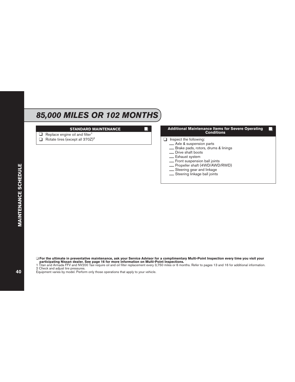## *85,000 MILES OR 102 MONTHS*

#### **STANDARD MAINTENANCE**

- $\Box$  Replace engine oil and filter<sup>1</sup>
- $\Box$  Rotate tires (except all 370Z)<sup>2</sup>

#### **Additional Maintenance Items for Severe Operating Conditions**

- $\Box$  Inspect the following:<br>  $\Box$  Axle & suspension parts
	-
	-
	-
	-
	-
	- Brake pads, rotors, drums & linings<br>
	 Drive shaft boots<br>
	 Exhaust system<br>
	 Front suspension ball joints<br>
	 Propeller shaft (4WD/AWD/RWD)<br>
	 Steering gear and linkage<br>
	 Steering linkage ball joints
	-
	-

**MAINTENANCE SCHEDULE** 

❑ **For the ultimate in preventative maintenance, ask your Service Advisor for a complimentary Multi-Point Inspection every time you visit your participating Nissan dealer. See page 16 for more information on Multi-Point Inspections.**

1 Titan and Armada FFV and NV200 Taxi require oil and oil filter replacement every 3,750 miles or 6 months. Refer to pages 13 and 16 for additional information.

2 Check and adjust tire pressures.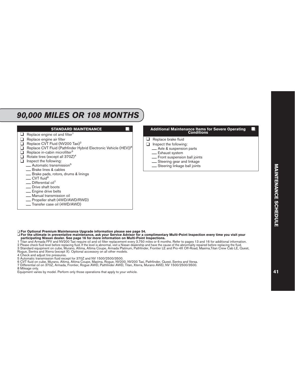### *90,000 MILES OR 108 MONTHS*

#### **STANDARD MAINTENANCE**  $\Box$  Replace engine oil and filter<sup>1</sup> ❑ Replace engine air filter □ Replace CVT Fluid (NV200 Taxi)<sup>2</sup><br>□ Replace CVT Fluid (Pathfinder Hy □ Replace CVT Fluid (Pathfinder Hybrid Electronic Vehicle (HEV))<sup>8</sup><br>□ Replace in-cabin microfilter<sup>3</sup>  $\Box$  Replace in-cabin microfilter<sup>3</sup><br> $\Box$  Rotate tires (except all 370Z) Rotate tires (except all 370Z)<sup>4</sup><br>a lnspect the following: Inspect the following:  $\frac{1}{\sqrt{5}}$  Automatic transmission<sup>5</sup><br>Brake lines & cables  $\equiv$  Brake pads, rotors, drums & linings  $\equiv$  CVT fluid<sup>6</sup>  $\frac{1}{\sqrt{2}}$  Differential oil<sup>7</sup> \_\_ Engine drive belts<br>\_\_ Manual transmission oil<br>\_\_ Propeller shaft (4WD/AWD/RWD)<br>\_\_ Transfer case oil (4WD/AWD) **Additional Maintenance Items for Severe Operating Conditions** ❑ Replace brake fluid □ Inspect the following:<br>
— Axle & suspension parts \_\_ Exhaust system<br>\_\_ Front suspension ball joints<br>\_\_ Steering gear and linkage<br>\_\_ Steering linkage ball joints

❑ **For Optional Premium Maintenance Upgrade information please see page 54.**

#### ❑ **For the ultimate in preventative maintenance, ask your Service Advisor for a complimentary Multi-Point Inspection every time you visit your participating Nissan dealer. See page 16 for more information on Multi-Point Inspections.**

1 Titan and Armada FFV and NV200 Taxi require oil and oil filter replacement every 3,750 miles or 6 months. Refer to pages 13 and 16 for additional information.

2 Please check fluid level before replacing fluid. If the level is abnormal, visit a Nissan dealership and have the cause of the abnormality repaired before replacing the fluid.

3 Standard equipment on cube, Murano, Altima, Altima Coupe, Armada Platinum, Pathfinder, Frontier LE and Pro-4X Off-Road, Maxima,Titan Crew Cab LE, Quest, Rogue, Sentra and Xterra (except X). Optional accessory on all other models.

4 Check and adjust tire pressures.

- 5 Automatic transmission fluid except for 370Z and NV 1500/2500/3500.
- 6 CVT fluid on cube, Murano, Altima, Altima Coupe, Maxima, Rogue, NV200, NV200 Taxi, Pathfinder, Quest, Sentra and Versa.
- 7 Differential oil on 370Z, Armada, Frontier, Rogue AWD, Pathfinder AWD, Titan, Xterra, Murano AWD, NV 1500/2500/3500.

8 Mileage only.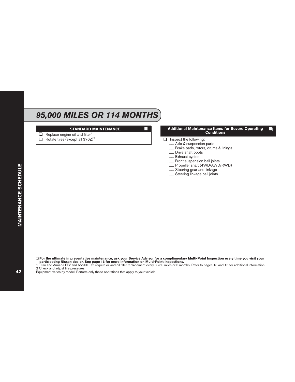## *95,000 MILES OR 114 MONTHS*

#### **STANDARD MAINTENANCE**

- $\Box$  Replace engine oil and filter<sup>1</sup>
- $\Box$  Rotate tires (except all 370Z)<sup>2</sup>

#### **Additional Maintenance Items for Severe Operating Conditions**

- □ Inspect the following:<br>
<u></u>Axle & suspension parts
	-
	-
	-
	-
	-
	- Brake pads, rotors, drums & linings<br>
	 Drive shaft boots<br>
	 Exhaust system<br>
	 Front suspension ball joints<br>
	 Propeller shaft (4WD/AWD/RWD)<br>
	 Steering gear and linkage<br>
	 Steering linkage ball joints
	-
	-

❑ **For the ultimate in preventative maintenance, ask your Service Advisor for a complimentary Multi-Point Inspection every time you visit your participating Nissan dealer. See page 16 for more information on Multi-Point Inspections.**

1 Titan and Armada FFV and NV200 Taxi require oil and oil filter replacement every 3,750 miles or 6 months. Refer to pages 13 and 16 for additional information.

2 Check and adjust tire pressures.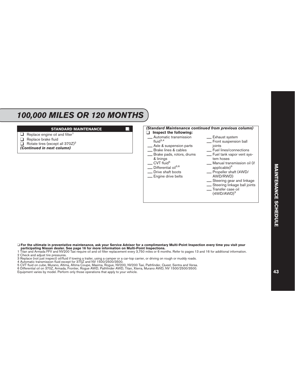### *100,000 MILES OR 120 MONTHS*

#### **STANDARD MAINTENANCE**

- $\Box$  Replace engine oil and filter<sup>1</sup>
- ❑ Replace brake fluid
- $\Box$  Rotate tires (except all 370Z)<sup>2</sup>
- *(Continued in next column)*



#### ❑ **For the ultimate in preventative maintenance, ask your Service Advisor for a complimentary Multi-Point Inspection every time you visit your participating Nissan dealer. See page 16 for more information on Multi-Point Inspections.**

1 Titan and Armada FFV and NV200 Taxi require oil and oil filter replacement every 3,750 miles or 6 months. Refer to pages 13 and 16 for additional information.

- 2 Check and adjust tire pressures.
- 3 Replace (not just inspect) oil/fluid if towing a trailer, using a camper or a car-top carrier, or driving on rough or muddy roads.

4 Automatic transmission fluid except for 370Z and NV 1500/2500/3500.

5 CVT fluid on cube, Murano, Altima, Altima Coupe, Maxima, Rogue, NV200, NV200 Taxi, Pathfinder, Quest, Sentra and Versa.

6 Differential oil on 370Z, Armada, Frontier, Rogue AWD, Pathfinder AWD, Titan, Xterra, Murano AWD, NV 1500/2500/3500.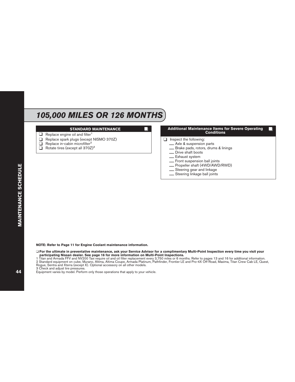### *105,000 MILES OR 126 MONTHS*

#### **STANDARD MAINTENANCE**

- $\Box$  Replace engine oil and filter<sup>1</sup>
- $\Box$  Replace spark plugs (except NISMO 370Z)<br> $\Box$  Replace in-cabin microfilter<sup>2</sup>
- $\Box$  Replace in-cabin microfilter<sup>2</sup><br> $\Box$  Rotate tires (except all 370Z
- Rotate tires (except all 370Z)<sup>3</sup>

# **Additional Maintenance Items for Severe Operating Conditions**  $\Box$  Inspect the following:<br>  $\Box$  Axle & suspension parts — Brake pads, rotors, drums & linings<br>
— Drive shaft boots<br>
— Exhaust system<br>
— Front suspension ball joints<br>
— Propeller shaft (4WD/AWD/RWD)<br>
— Steering gear and linkage<br>
— Steering linkage ball joints

#### **NOTE: Refer to Page 11 for Engine Coolant maintenance information.**

- ❑ **For the ultimate in preventative maintenance, ask your Service Advisor for a complimentary Multi-Point Inspection every time you visit your participating Nissan dealer. See page 16 for more information on Multi-Point Inspections.**
- 1 Titan and Armada FFV and NV200 Taxi require oil and oil filter replacement every 3,750 miles or 6 months. Refer to pages 13 and 16 for additional information. 2 Standard equipment on cube, Murano, Altima, Altima Coupe, Armada Platinum, Pathfinder, Frontier LE and Pro-4X Off-Road, Maxima, Titan Crew Cab LE, Quest, Rogue, Sentra and Xterra (except X). Optional accessory on all other models.

3 Check and adjust tire pressures.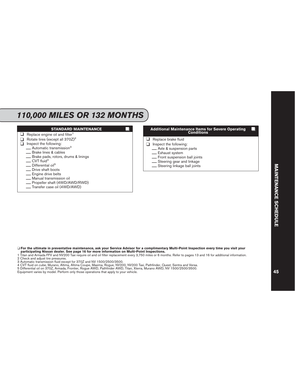## *110,000 MILES OR 132 MONTHS*



❑ **For the ultimate in preventative maintenance, ask your Service Advisor for a complimentary Multi-Point Inspection every time you visit your participating Nissan dealer. See page 16 for more information on Multi-Point Inspections.**

1 Titan and Armada FFV and NV200 Taxi require oil and oil filter replacement every 3,750 miles or 6 months. Refer to pages 13 and 16 for additional information.

2 Check and adjust tire pressures.

3 Automatic transmission fluid except for 370Z and NV 1500/2500/3500.

4 CVT fluid on cube, Murano, Altima, Altima Coupe, Maxima, Rogue, NV200, NV200 Taxi, Pathfinder, Quest, Sentra and Versa.

5 Differential oil on 370Z, Armada, Frontier, Rogue AWD, Pathfinder AWD, Titan, Xterra, Murano AWD, NV 1500/2500/3500.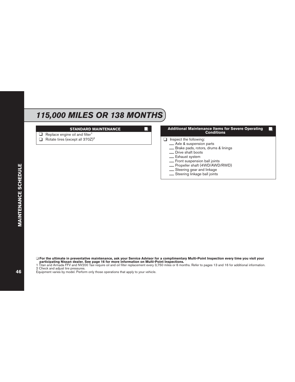## *115,000 MILES OR 138 MONTHS*

#### **STANDARD MAINTENANCE**

- $\Box$  Replace engine oil and filter<sup>1</sup>
- $\Box$  Rotate tires (except all 370Z)<sup>2</sup>

#### **Additional Maintenance Items for Severe Operating Conditions**

- $\Box$  Inspect the following:<br>  $\Box$  Axle & suspension parts
	-
	-
	-
	-
	-
	- Brake pads, rotors, drums & linings<br>
	 Drive shaft boots<br>
	 Exhaust system<br>
	 Front suspension ball joints<br>
	 Propeller shaft (4WD/AWD/RWD)<br>
	 Steering gear and linkage<br>
	 Steering linkage ball joints
	-
	-

❑ **For the ultimate in preventative maintenance, ask your Service Advisor for a complimentary Multi-Point Inspection every time you visit your participating Nissan dealer. See page 16 for more information on Multi-Point Inspections.**

1 Titan and Armada FFV and NV200 Taxi require oil and oil filter replacement every 3,750 miles or 6 months. Refer to pages 13 and 16 for additional information.

2 Check and adjust tire pressures.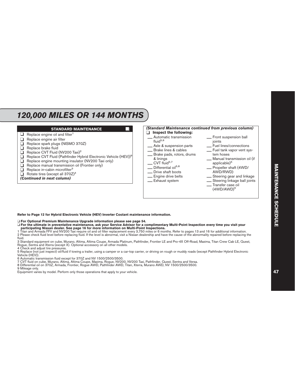## *120,000 MILES OR 144 MONTHS*



**Refer to Page 12 for Hybrid Electronic Vehicle (HEV) Inverter Coolant maintenance information.**

❑ **For Optional Premium Maintenance Upgrade information please see page 54.**

❑ **For the ultimate in preventative maintenance, ask your Service Advisor for a complimentary Multi-Point Inspection every time you visit your participating Nissan dealer. See page 16 for more information on Multi-Point Inspections.**

1 Titan and Armada FFV and NV200 Taxi require oil and oil filter replacement every 3,750 miles or 6 months. Refer to pages 13 and 16 for additional information.

2 Please check fluid level before replacing fluid. If the level is abnormal, visit a Nissan dealership and have the cause of the abnormality repaired before replacing the fluid.

3 Standard equipment on cube, Murano, Altima, Altima Coupe, Armada Platinum, Pathfinder, Frontier LE and Pro-4X Off-Road, Maxima, Titan Crew Cab LE, Quest, Rogue, Sentra and Xterra (except X). Optional accessory on all other models.

4 Check and adjust tire pressures.

5 Replace (not just inspect) oil/fluid if towing a trailer, using a camper or a car-top carrier, or driving on rough or muddy roads (except Pathfinder Hybrid Electronic Vehicle (HEV)).

6 Automatic transmission fluid except for 370Z and NV 1500/2500/3500.

7 CVT fluid on cube, Murano, Altima, Altima Coupe, Maxima, Rogue, NV200, NV200 Taxi, Pathfinder, Quest, Sentra and Versa.

8 Differential oil on 370Z, Armada, Frontier, Rogue AWD, Pathfinder AWD, Titan, Xterra, Murano AWD, NV 1500/2500/3500.

9 Mileage only.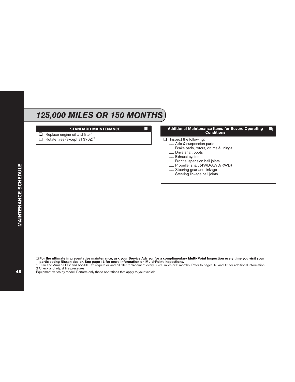## *125,000 MILES OR 150 MONTHS*

#### **STANDARD MAINTENANCE**

- $\Box$  Replace engine oil and filter<sup>1</sup>
- $\Box$  Rotate tires (except all 370Z)<sup>2</sup>

#### **Additional Maintenance Items for Severe Operating Conditions**

- $\Box$  Inspect the following:<br>  $\Box$  Axle & suspension parts
	-
	-
	-
	-
	-
	- Brake pads, rotors, drums & linings<br>
	 Drive shaft boots<br>
	 Exhaust system<br>
	 Front suspension ball joints<br>
	 Propeller shaft (4WD/AWD/RWD)<br>
	 Steering gear and linkage<br>
	 Steering linkage ball joints
	-
	-

❑ **For the ultimate in preventative maintenance, ask your Service Advisor for a complimentary Multi-Point Inspection every time you visit your participating Nissan dealer. See page 16 for more information on Multi-Point Inspections.**

1 Titan and Armada FFV and NV200 Taxi require oil and oil filter replacement every 3,750 miles or 6 months. Refer to pages 13 and 16 for additional information.

2 Check and adjust tire pressures.

Equipment varies by model. Perform only those operations that apply to your vehicle.

**MAINTENANCE SCHEDULE**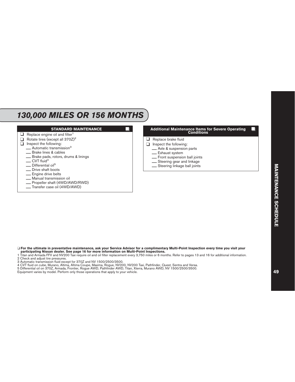### *130,000 MILES OR 156 MONTHS*



❑ **For the ultimate in preventative maintenance, ask your Service Advisor for a complimentary Multi-Point Inspection every time you visit your participating Nissan dealer. See page 16 for more information on Multi-Point Inspections.**

1 Titan and Armada FFV and NV200 Taxi require oil and oil filter replacement every 3,750 miles or 6 months. Refer to pages 13 and 16 for additional information.

2 Check and adjust tire pressures.

3 Automatic transmission fluid except for 370Z and NV 1500/2500/3500.

4 CVT fluid on cube, Murano, Altima, Altima Coupe, Maxima, Rogue, NV200, NV200 Taxi, Pathfinder, Quest, Sentra and Versa.

5 Differential oil on 370Z, Armada, Frontier, Rogue AWD, Pathfinder AWD, Titan, Xterra, Murano AWD, NV 1500/2500/3500.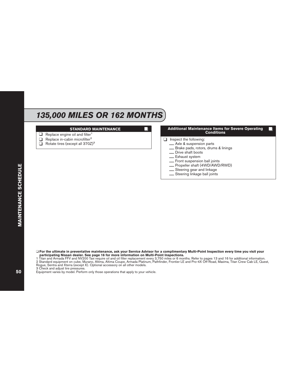### *135,000 MILES OR 162 MONTHS*

#### **STANDARD MAINTENANCE**

- $\Box$  Replace engine oil and filter<sup>1</sup>
- □ Replace in-cabin microfilter<sup>2</sup>
- ❑ Rotate tires (except all 370Z)<sup>3</sup>

# **Additional Maintenance Items for Severe Operating Conditions**  $\Box$  Inspect the following:<br>  $\Box$  Axle & suspension parts — Brake pads, rotors, drums & linings<br>
— Drive shaft boots<br>
— Exhaust system<br>
— Front suspension ball joints<br>
— Propeller shaft (4WD/AWD/RWD)<br>
— Steering gear and linkage<br>
— Steering linkage ball joints

- 
- 

❑ **For the ultimate in preventative maintenance, ask your Service Advisor for a complimentary Multi-Point Inspection every time you visit your participating Nissan dealer. See page 16 for more information on Multi-Point Inspections.**

3 Check and adjust tire pressures.

<sup>1</sup> Titan and Armada FFV and NV200 Taxi require oil and oil filter replacement every 3,750 miles or 6 months. Refer to pages 13 and 16 for additional information. 2 Standard equipment on cube, Murano, Altima, Altima Coupe, Armada Platinum, Pathfinder, Frontier LE and Pro-4X Off-Road, Maxima, Titan Crew Cab LE, Quest, Rogue, Sentra and Xterra (except X). Optional accessory on all other models.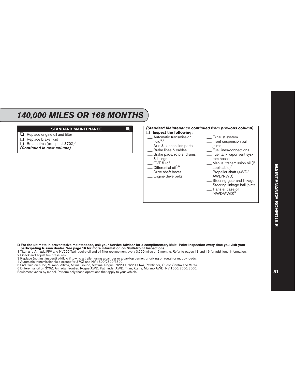## *140,000 MILES OR 168 MONTHS*

#### **STANDARD MAINTENANCE**

- $\Box$  Replace engine oil and filter<sup>1</sup>
- ❑ Replace brake fluid
- $\Box$  Rotate tires (except all 370Z)<sup>2</sup>
- *(Continued in next column)*



#### ❑ **For the ultimate in preventative maintenance, ask your Service Advisor for a complimentary Multi-Point Inspection every time you visit your participating Nissan dealer. See page 16 for more information on Multi-Point Inspections.**

1 Titan and Armada FFV and NV200 Taxi require oil and oil filter replacement every 3,750 miles or 6 months. Refer to pages 13 and 16 for additional information.

3 Replace (not just inspect) oil/fluid if towing a trailer, using a camper or a car-top carrier, or driving on rough or muddy roads.

4 Automatic transmission fluid except for 370Z and NV 1500/2500/3500.

5 CVT fluid on cube, Murano, Altima, Altima Coupe, Maxima, Rogue, NV200, NV200 Taxi, Pathfinder, Quest, Sentra and Versa.

6 Differential oil on 370Z, Armada, Frontier, Rogue AWD, Pathfinder AWD, Titan, Xterra, Murano AWD, NV 1500/2500/3500.

<sup>2</sup> Check and adjust tire pressures.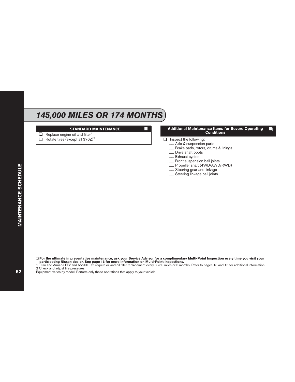## *145,000 MILES OR 174 MONTHS*

#### **STANDARD MAINTENANCE**

- $\Box$  Replace engine oil and filter<sup>1</sup>
- $\Box$  Rotate tires (except all 370Z)<sup>2</sup>

#### **Additional Maintenance Items for Severe Operating Conditions**

- □ Inspect the following:<br>
<u></u>Axle & suspension parts
	-
	-
	-
	-
	-
	- Brake pads, rotors, drums & linings<br>
	 Drive shaft boots<br>
	 Exhaust system<br>
	 Front suspension ball joints<br>
	 Propeller shaft (4WD/AWD/RWD)<br>
	 Steering gear and linkage<br>
	 Steering linkage ball joints
	-
	-

❑ **For the ultimate in preventative maintenance, ask your Service Advisor for a complimentary Multi-Point Inspection every time you visit your participating Nissan dealer. See page 16 for more information on Multi-Point Inspections.**

1 Titan and Armada FFV and NV200 Taxi require oil and oil filter replacement every 3,750 miles or 6 months. Refer to pages 13 and 16 for additional information.

2 Check and adjust tire pressures.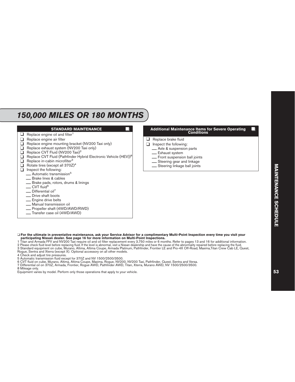## *150,000 MILES OR 180 MONTHS*

#### **STANDARD MAINTENANCE**

- $\Box$  Replace engine oil and filter<sup>1</sup>
- ❑ Replace engine air filter
- □ Replace engine mounting bracket (NV200 Taxi only)<br>□ Replace exhaust system (NV200 Taxi only)
- **□** Replace exhaust system (NV200 Taxi only)<br>□ Replace CVT Fluid (NV200 Taxi)<sup>2</sup>
- □ Replace CVT Fluid (NV200 Taxi)<sup>2</sup><br>□ Replace CVT Fluid (Pathfinder Hy
- **□** Replace CVT Fluid (Pathfinder Hybrid Electronic Vehicle (HEV))<sup>8</sup><br>□ Replace in-cabin microfilter<sup>3</sup>
- $\Box$  Replace in-cabin microfilter<sup>3</sup><br> $\Box$  Rotate tires (except all 370Z)
- Rotate tires (except all 370Z)<sup>4</sup><br>a lnspect the following:
- ❑ Inspect the following:
	- $\frac{1}{\sqrt{5}}$  Automatic transmission<sup>5</sup>
	-
	- $\frac{1}{2}$  Brake pads, rotors, drums & linings CVT fluid<sup>6</sup>
	-
	- $\frac{1}{2}$  Differential oil<sup>7</sup><br> $\frac{1}{2}$  Drive shaft boots
	-
	-
	-
	- \_\_ Engine drive belts<br>\_\_ Manual transmission oil<br>\_\_ Propeller shaft (4WD/AWD/RWD)<br>\_\_ Transfer case oil (4WD/AWD)
	-

| Additional Maintenance Items for Severe Operating |  |
|---------------------------------------------------|--|
| <b>Conditions</b>                                 |  |

- ❑ Replace brake fluid
- □ Inspect the following:<br>
 Axle & suspension parts
	-
	-
	- \_\_ Exhaust system<br>\_\_ Front suspension ball joints<br>\_\_ Steering gear and linkage<br>\_\_ Steering linkage ball joints
	-
	-

#### ❑ **For the ultimate in preventative maintenance, ask your Service Advisor for a complimentary Multi-Point Inspection every time you visit your participating Nissan dealer. See page 16 for more information on Multi-Point Inspections.**

1 Titan and Armada FFV and NV200 Taxi require oil and oil filter replacement every 3,750 miles or 6 months. Refer to pages 13 and 16 for additional information.

2 Please check fluid level before replacing fluid. If the level is abnormal, visit a Nissan dealership and have the cause of the abnormality repaired before replacing the fluid.

3 Standard equipment on cube, Murano, Altima, Altima Coupe, Armada Platinum, Pathfinder, Frontier LE and Pro-4X Off-Road, Maxima,Titan Crew Cab LE, Quest, Rogue, Sentra and Xterra (except X). Optional accessory on all other models.

4 Check and adjust tire pressures.

- 5 Automatic transmission fluid except for 370Z and NV 1500/2500/3500.
- 6 CVT fluid on cube, Murano, Altima, Altima Coupe, Maxima, Rogue, NV200, NV200 Taxi, Pathfinder, Quest, Sentra and Versa.
- 7 Differential oil on 370Z, Armada, Frontier, Rogue AWD, Pathfinder AWD, Titan, Xterra, Murano AWD, NV 1500/2500/3500.

8 Mileage only.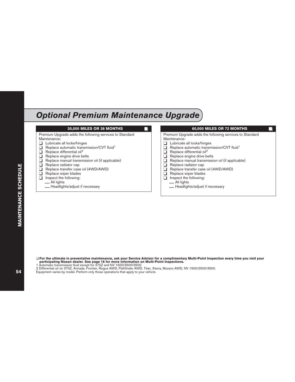### <span id="page-55-0"></span>*Optional Premium Maintenance Upgrade*



❑ **For the ultimate in preventative maintenance, ask your Service Advisor for a complimentary Multi-Point Inspection every time you visit your participating Nissan dealer. See page 16 for more information on Multi-Point Inspections.**

1 Automatic transmission fluid except for 370Z and NV 1500/2500/3500.

2 Differential oil on 370Z, Armada, Frontier, Rogue AWD, Pathfinder AWD, Titan, Xterra, Murano AWD, NV 1500/2500/3500.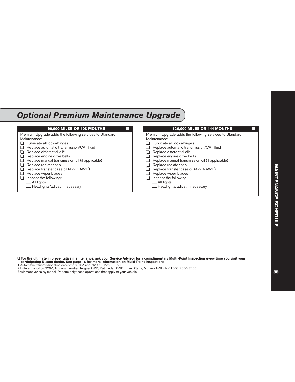## *Optional Premium Maintenance Upgrade*

| 90,000 MILES OR 108 MONTHS                                                                                                                                                                                                                                                                                                                                                                                                                                     | <b>120,000 MILES OR 144 MONTHS</b>                                                                                                                                                                                                                                                                                                                                                                                                                                                        |
|----------------------------------------------------------------------------------------------------------------------------------------------------------------------------------------------------------------------------------------------------------------------------------------------------------------------------------------------------------------------------------------------------------------------------------------------------------------|-------------------------------------------------------------------------------------------------------------------------------------------------------------------------------------------------------------------------------------------------------------------------------------------------------------------------------------------------------------------------------------------------------------------------------------------------------------------------------------------|
| Premium Upgrade adds the following services to Standard<br>Maintenance:<br>Lubricate all locks/hinges<br>Replace automatic transmission/CVT fluid <sup>1</sup><br>Replace differential oil <sup>2</sup><br>Replace engine drive belts<br>Replace manual transmission oil (if applicable)<br>Replace radiator cap<br>Replace transfer case oil (4WD/AWD)<br>Replace wiper blades<br>Inspect the following:<br>__ All lights<br>- Headlights/adjust if necessary | Premium Upgrade adds the following services to Standard<br>Maintenance:<br>Lubricate all locks/hinges<br>Replace automatic transmission/CVT fluid <sup>1</sup><br>Replace differential oil <sup>2</sup><br><b>.</b><br>Replace engine drive belts<br>Replace manual transmission oil (if applicable)<br>Replace radiator cap<br>H<br>Replace transfer case oil (4WD/AWD)<br>Replace wiper blades<br>ப<br>Inspect the following:<br>ப<br>__ All lights<br>- Headlights/adjust if necessary |

❑ **For the ultimate in preventative maintenance, ask your Service Advisor for a complimentary Multi-Point Inspection every time you visit your participating Nissan dealer. See page 16 for more information on Multi-Point Inspections.** 1 Automatic transmission fluid except for 370Z and NV 1500/2500/3500.

2 Differential oil on 370Z, Armada, Frontier, Rogue AWD, Pathfinder AWD, Titan, Xterra, Murano AWD, NV 1500/2500/3500.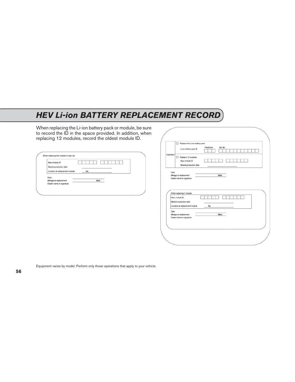## <span id="page-57-0"></span>*HEV Li-ion BATTERY REPLACEMENT RECORD*

When replacing the Li-ion battery pack or module, be sure to record the ID in the space provided. In addition, when replacing 12 modules, record the oldest module ID.

| New module ID                  |      |
|--------------------------------|------|
| Module production date         |      |
| Location at replacement module | No.  |
|                                |      |
| Date:                          |      |
| Mieage at replacement          | Mies |
| Dealer name or signature       |      |

|           | Replace the Li-ion battery pack<br>□<br>Plant/Line<br>Ser No.<br>Li-ion battery pack ID                                                                                  |
|-----------|--------------------------------------------------------------------------------------------------------------------------------------------------------------------------|
| Operation | Replace 12 modules<br>New module ID<br>Module production date                                                                                                            |
| Date:     | Mieage at replacement<br>Mies<br>Dealer name or signature<br>When replacing 1 module<br>New module ID<br>Module production date<br>Location at replacement module<br>No. |
|           |                                                                                                                                                                          |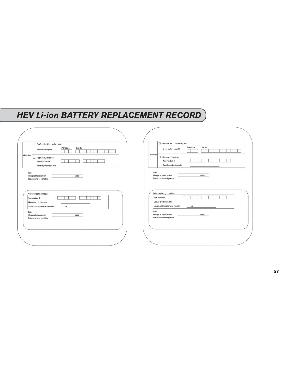### *HEV Li-ion BATTERY REPLACEMENT RECORD*

| Plant/Line<br>Ser No.<br>Li-ion battery pack ID                                                      | Replace the Li-ion battery pack<br>Plant/Line<br>Ser No.<br>Li-ion battery pack ID |
|------------------------------------------------------------------------------------------------------|------------------------------------------------------------------------------------|
| Operation<br>$\Box$ Replace 12 modules<br>New module ID<br>Module production date                    | Operation<br>$\Box$ Replace 12 modules<br>New module ID<br>Module production date  |
| Date:<br>Mieage at replacement<br>Mies<br>Dealer name or signature                                   | Date:<br>Mieage at replacement<br>Mies<br>Dealer name or signature                 |
| When replacing 1 module                                                                              | When replacing 1 module                                                            |
| New module ID<br>Module production date                                                              | New module ID<br>Module production date<br>Location at replacement module<br>No.   |
| No.                                                                                                  |                                                                                    |
| Location at replacement module<br>Date:<br>Mieage at replacement<br>Mies<br>Dealer name or signature | Date:<br>Mieage at replacement<br>Mies<br>Dealer name or signature                 |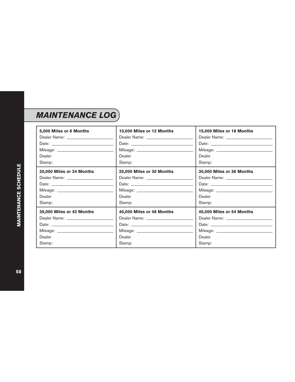<span id="page-59-0"></span>

| 5,000 Miles or 6 Months                                                                                                                                                                                                        | 10,000 Miles or 12 Months | 15,000 Miles or 18 Months |
|--------------------------------------------------------------------------------------------------------------------------------------------------------------------------------------------------------------------------------|---------------------------|---------------------------|
|                                                                                                                                                                                                                                |                           |                           |
|                                                                                                                                                                                                                                |                           |                           |
|                                                                                                                                                                                                                                |                           |                           |
| Dealer                                                                                                                                                                                                                         | Dealer                    | Dealer                    |
| Stamp:                                                                                                                                                                                                                         | Stamp:                    | Stamp:                    |
| 20,000 Miles or 24 Months                                                                                                                                                                                                      | 25,000 Miles or 30 Months | 30,000 Miles or 36 Months |
|                                                                                                                                                                                                                                |                           |                           |
|                                                                                                                                                                                                                                |                           |                           |
|                                                                                                                                                                                                                                |                           |                           |
| Dealer                                                                                                                                                                                                                         | Dealer                    | Dealer                    |
| Stamp:                                                                                                                                                                                                                         | Stamp:                    | Stamp:                    |
| 35,000 Miles or 42 Months                                                                                                                                                                                                      | 40,000 Miles or 48 Months | 45,000 Miles or 54 Months |
|                                                                                                                                                                                                                                |                           |                           |
| Date: the contract of the contract of the contract of the contract of the contract of the contract of the contract of the contract of the contract of the contract of the contract of the contract of the contract of the cont |                           |                           |
|                                                                                                                                                                                                                                |                           |                           |
| Dealer                                                                                                                                                                                                                         | Dealer                    | Dealer                    |
| Stamp:                                                                                                                                                                                                                         | Stamp:                    | Stamp:                    |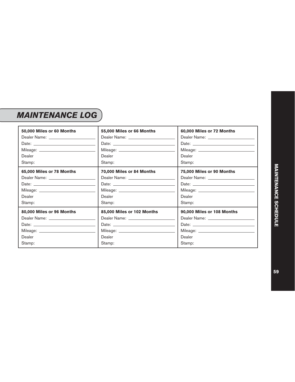## *MAINTENANCE LOG*

| 50,000 Miles or 60 Months | 55,000 Miles or 66 Months  | 60,000 Miles or 72 Months  |
|---------------------------|----------------------------|----------------------------|
|                           |                            |                            |
|                           |                            |                            |
|                           |                            |                            |
| Dealer                    | Dealer                     | Dealer                     |
| Stamp:                    | Stamp:                     | Stamp:                     |
| 65,000 Miles or 78 Months | 70,000 Miles or 84 Months  | 75,000 Miles or 90 Months  |
|                           |                            |                            |
|                           |                            |                            |
|                           |                            |                            |
| Dealer                    | Dealer                     | Dealer                     |
| Stamp:                    | Stamp:                     | Stamp:                     |
| 80,000 Miles or 96 Months | 85,000 Miles or 102 Months | 90,000 Miles or 108 Months |
|                           |                            |                            |
|                           |                            |                            |
|                           |                            |                            |
| Dealer                    | Dealer                     | Dealer                     |
| Stamp:                    | Stamp:                     | Stamp:                     |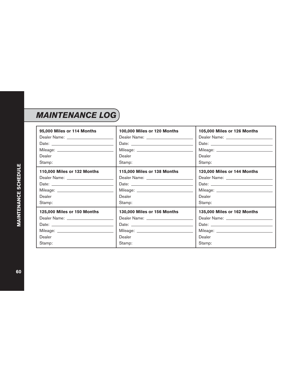| 95,000 Miles or 114 Months                                                                                                                                                                                                     | 100,000 Miles or 120 Months                                                                                                                                                                                                          | 105,000 Miles or 126 Months |
|--------------------------------------------------------------------------------------------------------------------------------------------------------------------------------------------------------------------------------|--------------------------------------------------------------------------------------------------------------------------------------------------------------------------------------------------------------------------------------|-----------------------------|
|                                                                                                                                                                                                                                | Dealer Name: _______________________                                                                                                                                                                                                 |                             |
|                                                                                                                                                                                                                                |                                                                                                                                                                                                                                      |                             |
|                                                                                                                                                                                                                                |                                                                                                                                                                                                                                      |                             |
| Dealer                                                                                                                                                                                                                         | Dealer                                                                                                                                                                                                                               | Dealer                      |
| Stamp:                                                                                                                                                                                                                         | Stamp:                                                                                                                                                                                                                               | Stamp:                      |
| 110,000 Miles or 132 Months                                                                                                                                                                                                    | 115,000 Miles or 138 Months                                                                                                                                                                                                          | 120,000 Miles or 144 Months |
|                                                                                                                                                                                                                                |                                                                                                                                                                                                                                      |                             |
|                                                                                                                                                                                                                                |                                                                                                                                                                                                                                      |                             |
|                                                                                                                                                                                                                                |                                                                                                                                                                                                                                      |                             |
| Dealer                                                                                                                                                                                                                         | Dealer                                                                                                                                                                                                                               | Dealer                      |
| Stamp:                                                                                                                                                                                                                         | Stamp:                                                                                                                                                                                                                               | Stamp:                      |
| 125,000 Miles or 150 Months                                                                                                                                                                                                    | 130,000 Miles or 156 Months                                                                                                                                                                                                          | 135,000 Miles or 162 Months |
|                                                                                                                                                                                                                                | Dealer Name: ________________________                                                                                                                                                                                                |                             |
| Date: the contract of the contract of the contract of the contract of the contract of the contract of the contract of the contract of the contract of the contract of the contract of the contract of the contract of the cont | Date: <u>Date: Experimental and the set of the set of the set of the set of the set of the set of the set of the set of the set of the set of the set of the set of the set of the set of the set of the set of the set of the s</u> |                             |
|                                                                                                                                                                                                                                |                                                                                                                                                                                                                                      |                             |
| Dealer                                                                                                                                                                                                                         | Dealer                                                                                                                                                                                                                               | Dealer                      |
| Stamp:                                                                                                                                                                                                                         | Stamp:                                                                                                                                                                                                                               | Stamp:                      |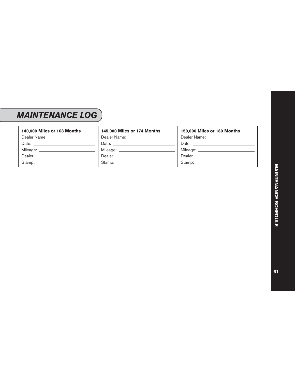## *MAINTENANCE LOG*

| 140,000 Miles or 168 Months           | 145,000 Miles or 174 Months  | 150,000 Miles or 180 Months                                                                                                                                                                                                    |
|---------------------------------------|------------------------------|--------------------------------------------------------------------------------------------------------------------------------------------------------------------------------------------------------------------------------|
| Dealer Name: ________________         | Dealer Name: _______________ | Dealer Name: Name: Name and Dealer Name and Dealer Name and Dealer Name and Dealer Name and Dealer N                                                                                                                           |
| Date: <u>________________________</u> |                              | Date: the contract of the contract of the contract of the contract of the contract of the contract of the contract of the contract of the contract of the contract of the contract of the contract of the contract of the cont |
| Mileage: _________________            | Mileage: ________________    | Mileage: _____________________                                                                                                                                                                                                 |
| Dealer                                | Dealer                       | Dealer                                                                                                                                                                                                                         |
| Stamp:                                | Stamp:                       | Stamp:                                                                                                                                                                                                                         |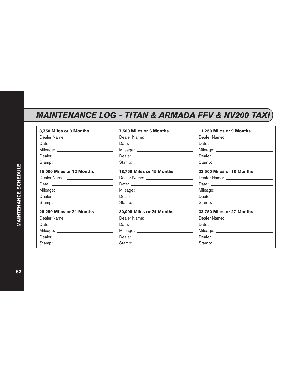<span id="page-63-0"></span>

| 3,750 Miles or 3 Months   | 7,500 Miles or 6 Months   | 11,250 Miles or 9 Months  |
|---------------------------|---------------------------|---------------------------|
|                           |                           |                           |
|                           |                           |                           |
|                           |                           |                           |
| Dealer                    | Dealer                    | Dealer                    |
| Stamp:                    | Stamp:                    | Stamp:                    |
| 15,000 Miles or 12 Months | 18,750 Miles or 15 Months | 22,500 Miles or 18 Months |
|                           |                           |                           |
|                           |                           |                           |
|                           |                           |                           |
| Dealer                    | Dealer                    | Dealer                    |
| Stamp:                    | Stamp:                    | Stamp:                    |
| 26,250 Miles or 21 Months | 30,000 Miles or 24 Months | 33,750 Miles or 27 Months |
|                           |                           |                           |
|                           |                           |                           |
|                           |                           |                           |
| Dealer                    | Dealer                    | Dealer                    |
| Stamp:                    | Stamp:                    | Stamp:                    |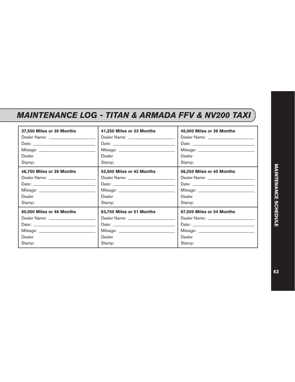| 37,500 Miles or 30 Months | 41,250 Miles or 33 Months | 45,000 Miles or 36 Months |
|---------------------------|---------------------------|---------------------------|
|                           |                           |                           |
|                           |                           |                           |
|                           |                           |                           |
| Dealer                    | Dealer                    | Dealer                    |
| Stamp:                    | Stamp:                    | Stamp:                    |
| 48,750 Miles or 39 Months | 52,500 Miles or 42 Months | 56,250 Miles or 45 Months |
|                           |                           |                           |
|                           |                           |                           |
|                           |                           |                           |
| Dealer                    | Dealer                    | Dealer                    |
| Stamp:                    | Stamp:                    | Stamp:                    |
| 60,000 Miles or 48 Months | 63,750 Miles or 51 Months | 67,500 Miles or 54 Months |
|                           |                           |                           |
|                           |                           |                           |
|                           |                           |                           |
| Dealer                    | Dealer                    | Dealer                    |
| Stamp:                    | Stamp:                    | Stamp:                    |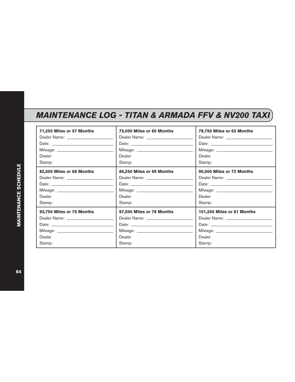| 71,250 Miles or 57 Months                                                                                                                                                                                                      | 75,000 Miles or 60 Months | 78,750 Miles or 63 Months  |
|--------------------------------------------------------------------------------------------------------------------------------------------------------------------------------------------------------------------------------|---------------------------|----------------------------|
|                                                                                                                                                                                                                                |                           |                            |
|                                                                                                                                                                                                                                |                           |                            |
|                                                                                                                                                                                                                                |                           |                            |
| Dealer                                                                                                                                                                                                                         | Dealer                    | Dealer                     |
| Stamp:                                                                                                                                                                                                                         | Stamp:                    | Stamp:                     |
| 82,500 Miles or 66 Months                                                                                                                                                                                                      | 86,250 Miles or 69 Months | 90,000 Miles or 72 Months  |
|                                                                                                                                                                                                                                |                           |                            |
|                                                                                                                                                                                                                                |                           |                            |
|                                                                                                                                                                                                                                |                           |                            |
| Dealer                                                                                                                                                                                                                         | Dealer                    | Dealer                     |
| Stamp:                                                                                                                                                                                                                         | Stamp:                    | Stamp:                     |
| 93,750 Miles or 75 Months                                                                                                                                                                                                      | 97,500 Miles or 78 Months | 101,250 Miles or 81 Months |
|                                                                                                                                                                                                                                |                           |                            |
| Date: the contract of the contract of the contract of the contract of the contract of the contract of the contract of the contract of the contract of the contract of the contract of the contract of the contract of the cont | Date: $\qquad \qquad$     |                            |
|                                                                                                                                                                                                                                |                           |                            |
| Dealer                                                                                                                                                                                                                         | Dealer                    | Dealer                     |
| Stamp:                                                                                                                                                                                                                         | Stamp:                    | Stamp:                     |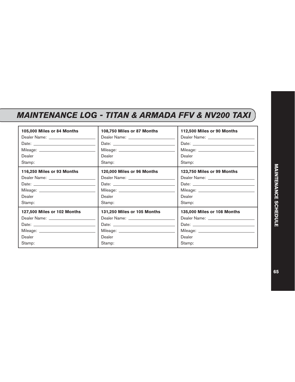| 105,000 Miles or 84 Months                                                                                                                                                                                                     | 108,750 Miles or 87 Months                                                                                                                                                                                                     | 112,500 Miles or 90 Months  |
|--------------------------------------------------------------------------------------------------------------------------------------------------------------------------------------------------------------------------------|--------------------------------------------------------------------------------------------------------------------------------------------------------------------------------------------------------------------------------|-----------------------------|
|                                                                                                                                                                                                                                |                                                                                                                                                                                                                                |                             |
|                                                                                                                                                                                                                                |                                                                                                                                                                                                                                |                             |
|                                                                                                                                                                                                                                |                                                                                                                                                                                                                                |                             |
| Dealer                                                                                                                                                                                                                         | Dealer                                                                                                                                                                                                                         | Dealer                      |
| Stamp:                                                                                                                                                                                                                         | Stamp:                                                                                                                                                                                                                         | Stamp:                      |
| 116,250 Miles or 93 Months                                                                                                                                                                                                     | 120,000 Miles or 96 Months                                                                                                                                                                                                     | 123,750 Miles or 99 Months  |
|                                                                                                                                                                                                                                |                                                                                                                                                                                                                                |                             |
| Date: the contract of the contract of the contract of the contract of the contract of the contract of the contract of the contract of the contract of the contract of the contract of the contract of the contract of the cont | Date: the contract of the contract of the contract of the contract of the contract of the contract of the contract of the contract of the contract of the contract of the contract of the contract of the contract of the cont |                             |
|                                                                                                                                                                                                                                |                                                                                                                                                                                                                                |                             |
| Dealer                                                                                                                                                                                                                         | Dealer                                                                                                                                                                                                                         | Dealer                      |
| Stamp:                                                                                                                                                                                                                         | Stamp:                                                                                                                                                                                                                         | Stamp:                      |
| 127,500 Miles or 102 Months                                                                                                                                                                                                    | 131,250 Miles or 105 Months                                                                                                                                                                                                    | 135,000 Miles or 108 Months |
|                                                                                                                                                                                                                                | Dealer Name: Name and the control of the control of the control of the control of the control of the control of the control of the control of the control of the control of the control of the control of the control of the c |                             |
|                                                                                                                                                                                                                                |                                                                                                                                                                                                                                |                             |
|                                                                                                                                                                                                                                |                                                                                                                                                                                                                                |                             |
| Dealer                                                                                                                                                                                                                         | Dealer                                                                                                                                                                                                                         | Dealer                      |
| Stamp:                                                                                                                                                                                                                         | Stamp:                                                                                                                                                                                                                         | Stamp:                      |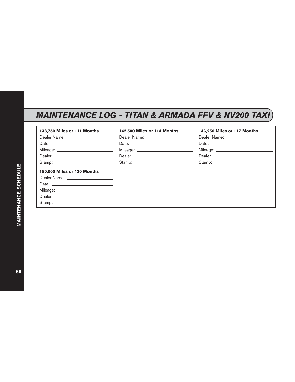| 138,750 Miles or 111 Months | 142,500 Miles or 114 Months | 146,250 Miles or 117 Months |
|-----------------------------|-----------------------------|-----------------------------|
|                             |                             |                             |
|                             |                             |                             |
|                             |                             |                             |
| Dealer                      | Dealer                      | Dealer                      |
| Stamp:                      | Stamp:                      | Stamp:                      |
| 150,000 Miles or 120 Months |                             |                             |
|                             |                             |                             |
|                             |                             |                             |
|                             |                             |                             |
| Dealer                      |                             |                             |
| Stamp:                      |                             |                             |